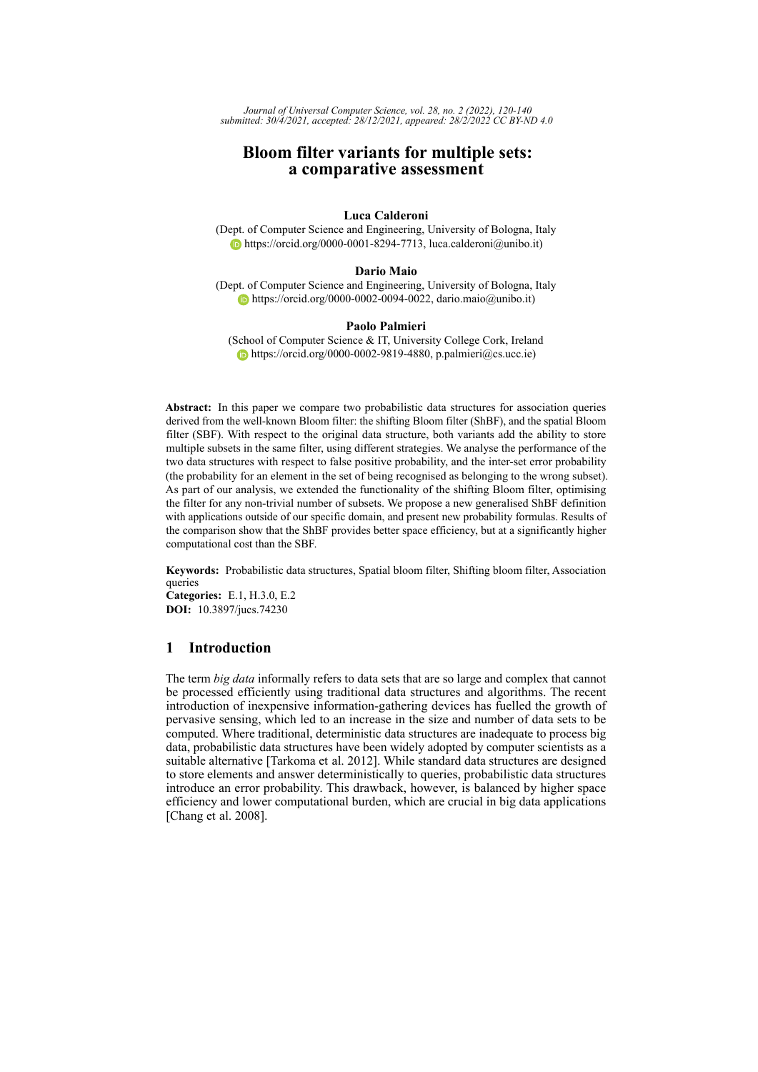*Journal of Universal Computer Science, vol. 28, no. 2 (2022), 120-140 submitted: 30/4/2021, accepted: 28/12/2021, appeared: 28/2/2022 CC BY-ND 4.0*

# **Bloom filter variants for multiple sets: a comparative assessment**

# **Luca Calderoni**

(Dept. of Computer Science and Engineering, University of Bologna, Italy [https://orcid.org/0000-0001-8294-7713,](https://orcid.org/0000-0001-8294-7713) luca.calderoni@unibo.it)

#### **Dario Maio**

(Dept. of Computer Science and Engineering, University of Bologna, Italy [https://orcid.org/0000-0002-0094-0022,](https://orcid.org/0000-0002-0094-0022) dario.maio@unibo.it)

## **Paolo Palmieri**

(School of Computer Science & IT, University College Cork, Ireland  $\bullet$  [https://orcid.org/0000-0002-9819-4880,](https://orcid.org/0000-0002-9819-4880) p.palmieri@cs.ucc.ie)

**Abstract:** In this paper we compare two probabilistic data structures for association queries derived from the well-known Bloom filter: the shifting Bloom filter (ShBF), and the spatial Bloom filter (SBF). With respect to the original data structure, both variants add the ability to store multiple subsets in the same filter, using different strategies. We analyse the performance of the two data structures with respect to false positive probability, and the inter-set error probability (the probability for an element in the set of being recognised as belonging to the wrong subset). As part of our analysis, we extended the functionality of the shifting Bloom filter, optimising the filter for any non-trivial number of subsets. We propose a new generalised ShBF definition with applications outside of our specific domain, and present new probability formulas. Results of the comparison show that the ShBF provides better space efficiency, but at a significantly higher computational cost than the SBF.

**Keywords:** Probabilistic data structures, Spatial bloom filter, Shifting bloom filter, Association queries **Categories:** E.1, H.3.0, E.2

**DOI:** 10.3897/jucs.74230

# **1 Introduction**

The term *big data* informally refers to data sets that are so large and complex that cannot be processed efficiently using traditional data structures and algorithms. The recent introduction of inexpensive information-gathering devices has fuelled the growth of pervasive sensing, which led to an increase in the size and number of data sets to be computed. Where traditional, deterministic data structures are inadequate to process big data, probabilistic data structures have been widely adopted by computer scientists as a suitable alternative [\[Tarkoma et al. 2012\]](#page-20-0). While standard data structures are designed to store elements and answer deterministically to queries, probabilistic data structures introduce an error probability. This drawback, however, is balanced by higher space efficiency and lower computational burden, which are crucial in big data applications [\[Chang et al. 2008\]](#page-19-0).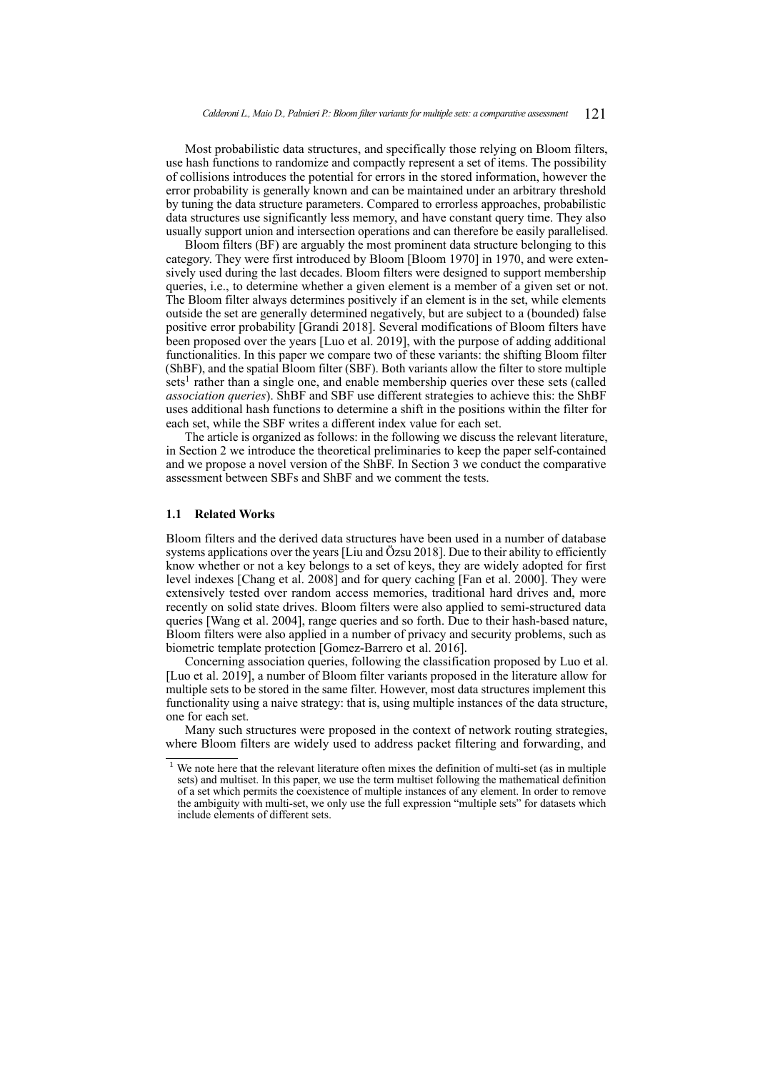Most probabilistic data structures, and specifically those relying on Bloom filters, use hash functions to randomize and compactly represent a set of items. The possibility of collisions introduces the potential for errors in the stored information, however the error probability is generally known and can be maintained under an arbitrary threshold by tuning the data structure parameters. Compared to errorless approaches, probabilistic data structures use significantly less memory, and have constant query time. They also usually support union and intersection operations and can therefore be easily parallelised.

Bloom filters (BF) are arguably the most prominent data structure belonging to this category. They were first introduced by Bloom [\[Bloom 1970\]](#page-19-1) in 1970, and were extensively used during the last decades. Bloom filters were designed to support membership queries, i.e., to determine whether a given element is a member of a given set or not. The Bloom filter always determines positively if an element is in the set, while elements outside the set are generally determined negatively, but are subject to a (bounded) false positive error probability [\[Grandi 2018\]](#page-19-2). Several modifications of Bloom filters have been proposed over the years [\[Luo et al. 2019\]](#page-20-1), with the purpose of adding additional functionalities. In this paper we compare two of these variants: the shifting Bloom filter (ShBF), and the spatial Bloom filter (SBF). Both variants allow the filter to store multiple sets<sup>[1](#page-20-2)</sup> rather than a single one, and enable membership queries over these sets (called *association queries*). ShBF and SBF use different strategies to achieve this: the ShBF uses additional hash functions to determine a shift in the positions within the filter for each set, while the SBF writes a different index value for each set.

The article is organized as follows: in the following we discuss the relevant literature, in Section [2](#page-3-0) we introduce the theoretical preliminaries to keep the paper self-contained and we propose a novel version of the ShBF. In Section [3](#page-13-0) we conduct the comparative assessment between SBFs and ShBF and we comment the tests.

#### **1.1 Related Works**

Bloom filters and the derived data structures have been used in a number of database systems applications over the years [\[Liu and Özsu 2018\]](#page-20-3). Due to their ability to efficiently know whether or not a key belongs to a set of keys, they are widely adopted for first level indexes [\[Chang et al. 2008\]](#page-19-0) and for query caching [\[Fan et al. 2000\]](#page-19-3). They were extensively tested over random access memories, traditional hard drives and, more recently on solid state drives. Bloom filters were also applied to semi-structured data queries [\[Wang et al. 2004\]](#page-20-4), range queries and so forth. Due to their hash-based nature, Bloom filters were also applied in a number of privacy and security problems, such as biometric template protection [\[Gomez-Barrero et al. 2016\]](#page-19-4).

Concerning association queries, following the classification proposed by Luo et al. [\[Luo et al. 2019\]](#page-20-1), a number of Bloom filter variants proposed in the literature allow for multiple sets to be stored in the same filter. However, most data structures implement this functionality using a naive strategy: that is, using multiple instances of the data structure, one for each set.

Many such structures were proposed in the context of network routing strategies, where Bloom filters are widely used to address packet filtering and forwarding, and

 $1$  We note here that the relevant literature often mixes the definition of multi-set (as in multiple sets) and multiset. In this paper, we use the term multiset following the mathematical definition of a set which permits the coexistence of multiple instances of any element. In order to remove the ambiguity with multi-set, we only use the full expression "multiple sets" for datasets which include elements of different sets.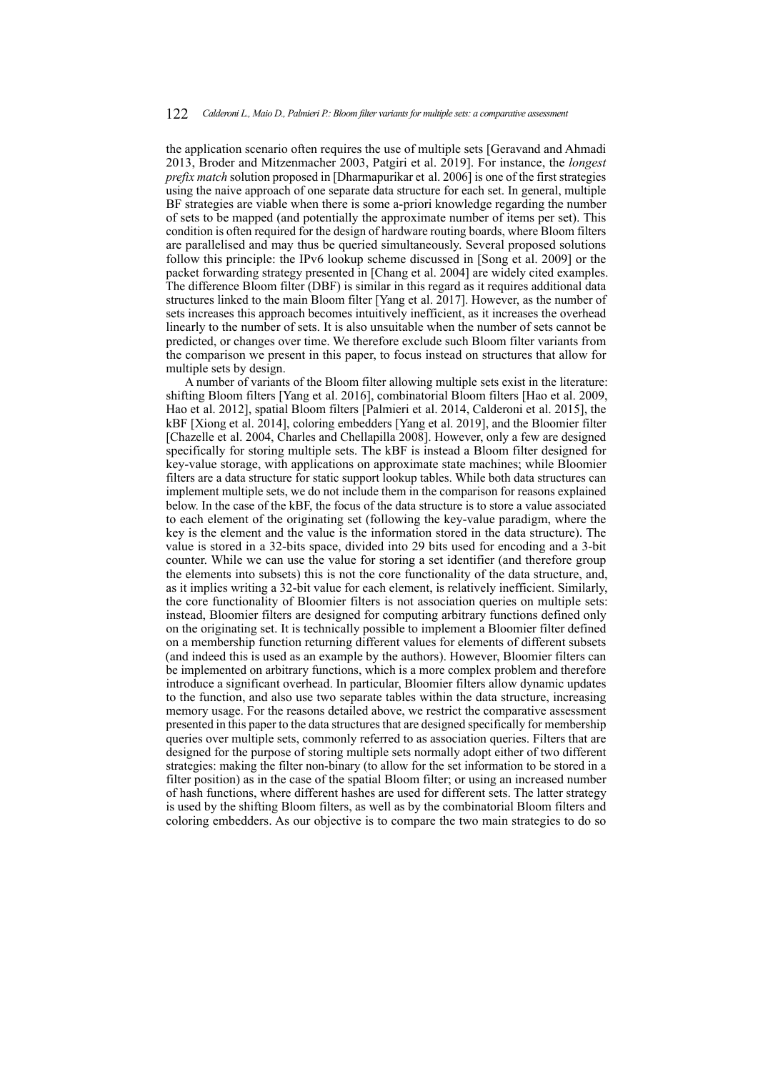the application scenario often requires the use of multiple sets [\[Geravand and Ahmadi](#page-19-5) [2013,](#page-19-5) [Broder and Mitzenmacher 2003,](#page-19-6) [Patgiri et al. 2019\]](#page-20-5). For instance, the *longest prefix match* solution proposed in [\[Dharmapurikar et al. 2006\]](#page-19-7) is one of the first strategies using the naive approach of one separate data structure for each set. In general, multiple BF strategies are viable when there is some a-priori knowledge regarding the number of sets to be mapped (and potentially the approximate number of items per set). This condition is often required for the design of hardware routing boards, where Bloom filters are parallelised and may thus be queried simultaneously. Several proposed solutions follow this principle: the IPv6 lookup scheme discussed in [\[Song et al. 2009\]](#page-20-6) or the packet forwarding strategy presented in [\[Chang et al. 2004\]](#page-19-8) are widely cited examples. The difference Bloom filter (DBF) is similar in this regard as it requires additional data structures linked to the main Bloom filter [\[Yang et al. 2017\]](#page-20-7). However, as the number of sets increases this approach becomes intuitively inefficient, as it increases the overhead linearly to the number of sets. It is also unsuitable when the number of sets cannot be predicted, or changes over time. We therefore exclude such Bloom filter variants from the comparison we present in this paper, to focus instead on structures that allow for multiple sets by design.

A number of variants of the Bloom filter allowing multiple sets exist in the literature: shifting Bloom filters [\[Yang et al. 2016\]](#page-20-8), combinatorial Bloom filters [\[Hao et al. 2009,](#page-19-9) [Hao et al. 2012\]](#page-20-9), spatial Bloom filters [\[Palmieri et al. 2014,](#page-20-10) [Calderoni et al. 2015\]](#page-19-10), the kBF [\[Xiong et al. 2014\]](#page-20-11), coloring embedders [\[Yang et al. 2019\]](#page-20-12), and the Bloomier filter [\[Chazelle et al. 2004,](#page-19-11) [Charles and Chellapilla 2008\]](#page-19-12). However, only a few are designed specifically for storing multiple sets. The kBF is instead a Bloom filter designed for key-value storage, with applications on approximate state machines; while Bloomier filters are a data structure for static support lookup tables. While both data structures can implement multiple sets, we do not include them in the comparison for reasons explained below. In the case of the kBF, the focus of the data structure is to store a value associated to each element of the originating set (following the key-value paradigm, where the key is the element and the value is the information stored in the data structure). The value is stored in a 32-bits space, divided into 29 bits used for encoding and a 3-bit counter. While we can use the value for storing a set identifier (and therefore group the elements into subsets) this is not the core functionality of the data structure, and, as it implies writing a 32-bit value for each element, is relatively inefficient. Similarly, the core functionality of Bloomier filters is not association queries on multiple sets: instead, Bloomier filters are designed for computing arbitrary functions defined only on the originating set. It is technically possible to implement a Bloomier filter defined on a membership function returning different values for elements of different subsets (and indeed this is used as an example by the authors). However, Bloomier filters can be implemented on arbitrary functions, which is a more complex problem and therefore introduce a significant overhead. In particular, Bloomier filters allow dynamic updates to the function, and also use two separate tables within the data structure, increasing memory usage. For the reasons detailed above, we restrict the comparative assessment presented in this paper to the data structures that are designed specifically for membership queries over multiple sets, commonly referred to as association queries. Filters that are designed for the purpose of storing multiple sets normally adopt either of two different strategies: making the filter non-binary (to allow for the set information to be stored in a filter position) as in the case of the spatial Bloom filter; or using an increased number of hash functions, where different hashes are used for different sets. The latter strategy is used by the shifting Bloom filters, as well as by the combinatorial Bloom filters and coloring embedders. As our objective is to compare the two main strategies to do so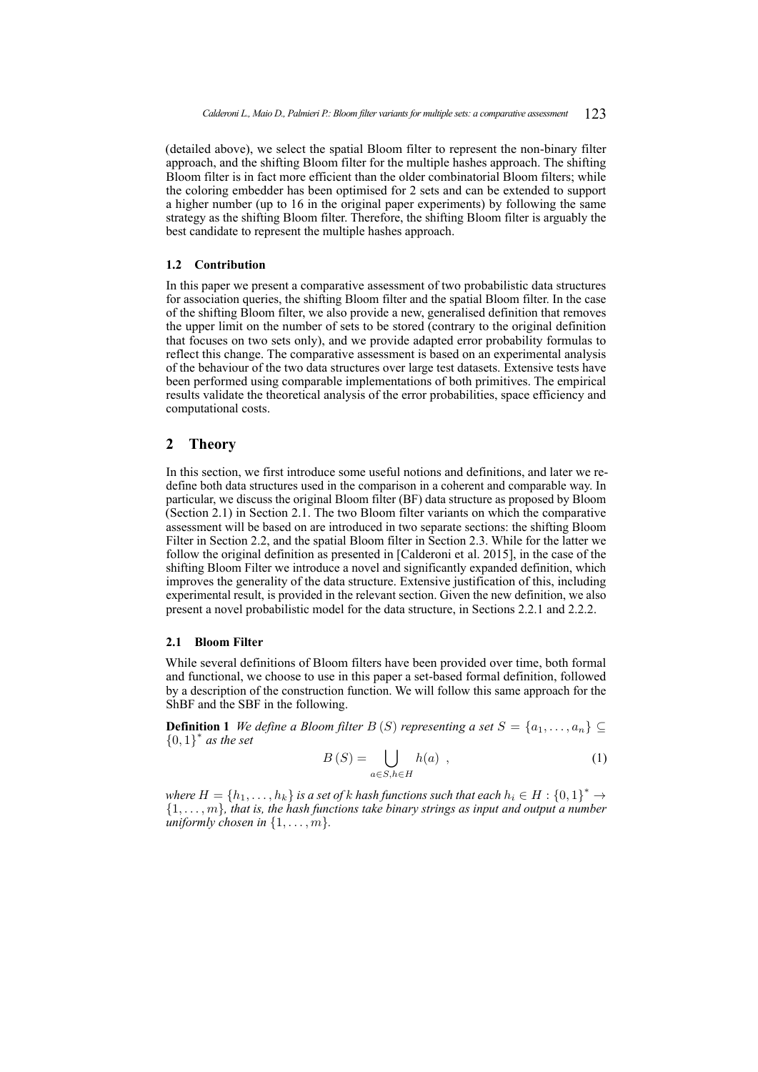(detailed above), we select the spatial Bloom filter to represent the non-binary filter approach, and the shifting Bloom filter for the multiple hashes approach. The shifting Bloom filter is in fact more efficient than the older combinatorial Bloom filters; while the coloring embedder has been optimised for 2 sets and can be extended to support a higher number (up to 16 in the original paper experiments) by following the same strategy as the shifting Bloom filter. Therefore, the shifting Bloom filter is arguably the best candidate to represent the multiple hashes approach.

### **1.2 Contribution**

In this paper we present a comparative assessment of two probabilistic data structures for association queries, the shifting Bloom filter and the spatial Bloom filter. In the case of the shifting Bloom filter, we also provide a new, generalised definition that removes the upper limit on the number of sets to be stored (contrary to the original definition that focuses on two sets only), and we provide adapted error probability formulas to reflect this change. The comparative assessment is based on an experimental analysis of the behaviour of the two data structures over large test datasets. Extensive tests have been performed using comparable implementations of both primitives. The empirical results validate the theoretical analysis of the error probabilities, space efficiency and computational costs.

# <span id="page-3-0"></span>**2 Theory**

In this section, we first introduce some useful notions and definitions, and later we redefine both data structures used in the comparison in a coherent and comparable way. In particular, we discuss the original Bloom filter (BF) data structure as proposed by Bloom (Section [2.1\)](#page-3-1) in Section [2.1.](#page-3-1) The two Bloom filter variants on which the comparative assessment will be based on are introduced in two separate sections: the shifting Bloom Filter in Section [2.2,](#page-5-0) and the spatial Bloom filter in Section [2.3.](#page-10-0) While for the latter we follow the original definition as presented in [\[Calderoni et al. 2015\]](#page-19-10), in the case of the shifting Bloom Filter we introduce a novel and significantly expanded definition, which improves the generality of the data structure. Extensive justification of this, including experimental result, is provided in the relevant section. Given the new definition, we also present a novel probabilistic model for the data structure, in Sections [2.2.1](#page-7-0) and [2.2.2.](#page-9-0)

#### <span id="page-3-1"></span>**2.1 Bloom Filter**

While several definitions of Bloom filters have been provided over time, both formal and functional, we choose to use in this paper a set-based formal definition, followed by a description of the construction function. We will follow this same approach for the ShBF and the SBF in the following.

**Definition 1** *We define a Bloom filter*  $B(S)$  *representing a set*  $S = \{a_1, \ldots, a_n\} \subseteq$  ${0,1}^*$  *as the set* 

$$
B(S) = \bigcup_{a \in S, h \in H} h(a) , \qquad (1)
$$

*where*  $H = \{h_1, \ldots, h_k\}$  *is a set of k hash functions such that each*  $h_i \in H : \{0,1\}^* \to$  $\{1, \ldots, m\}$ , that is, the hash functions take binary strings as input and output a number *uniformly chosen in*  $\{1, \ldots, m\}$ *.*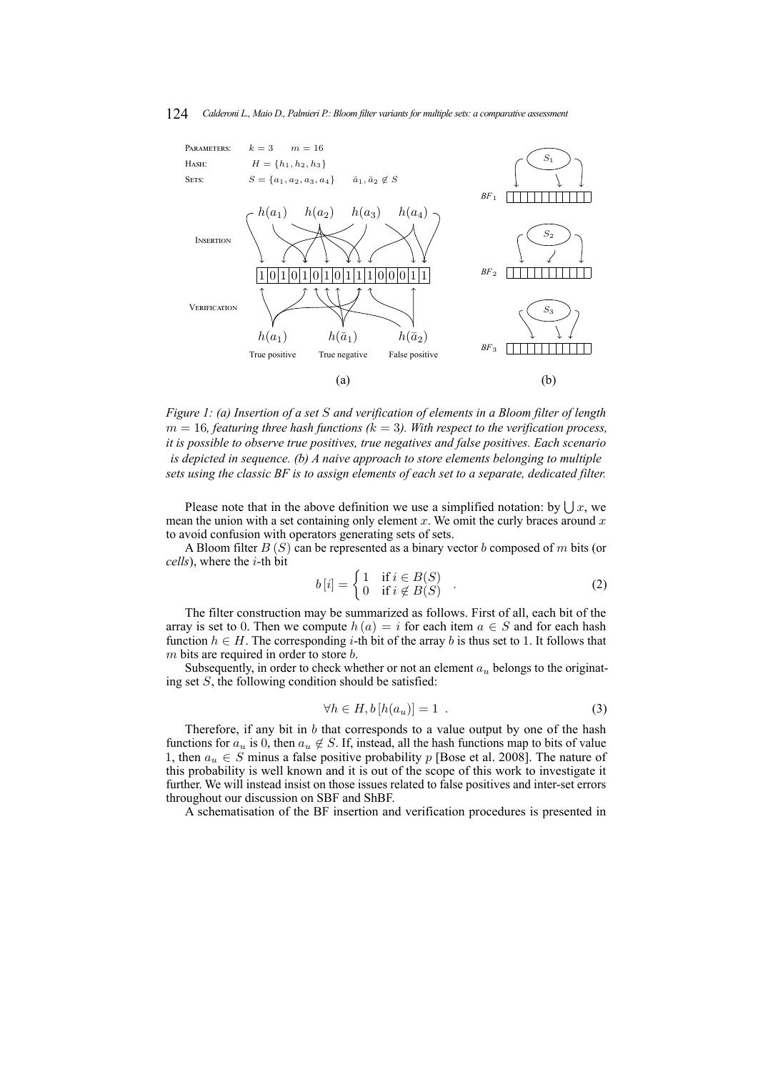#### 124 *Calderoni L., Maio D., Palmieri P.: Bloom filter variants for multiple sets: a comparative assessment*

<span id="page-4-0"></span>

*Figure 1: (a) Insertion of a set* S *and verification of elements in a Bloom filter of length*  $m = 16$ , featuring three hash functions ( $k = 3$ ). With respect to the verification process, *it is possible to observe true positives, true negatives and false positives. Each scenario is depicted in sequence. (b) A naive approach to store elements belonging to multiple sets using the classic BF is to assign elements of each set to a separate, dedicated filter.*

Please note that in the above definition we use a simplified notation: by  $\bigcup x$ , we mean the union with a set containing only element  $x$ . We omit the curly braces around  $x$ to avoid confusion with operators generating sets of sets.

A Bloom filter  $B(S)$  can be represented as a binary vector b composed of m bits (or *cells*), where the i-th bit

$$
b[i] = \begin{cases} 1 & \text{if } i \in B(S) \\ 0 & \text{if } i \notin B(S) \end{cases} . \tag{2}
$$

The filter construction may be summarized as follows. First of all, each bit of the array is set to 0. Then we compute  $h(a) = i$  for each item  $a \in S$  and for each hash function  $h \in H$ . The corresponding *i*-th bit of the array *b* is thus set to 1. It follows that  $m$  bits are required in order to store  $b$ .

Subsequently, in order to check whether or not an element  $a<sub>u</sub>$  belongs to the originating set  $S$ , the following condition should be satisfied:

$$
\forall h \in H, b \left[ h(a_u) \right] = 1 . \tag{3}
$$

Therefore, if any bit in  $b$  that corresponds to a value output by one of the hash functions for  $a_u$  is 0, then  $a_u \notin S$ . If, instead, all the hash functions map to bits of value 1, then  $a_u \in S$  minus a false positive probability p [\[Bose et al. 2008\]](#page-19-13). The nature of this probability is well known and it is out of the scope of this work to investigate it further. We will instead insist on those issues related to false positives and inter-set errors throughout our discussion on SBF and ShBF.

A schematisation of the BF insertion and verification procedures is presented in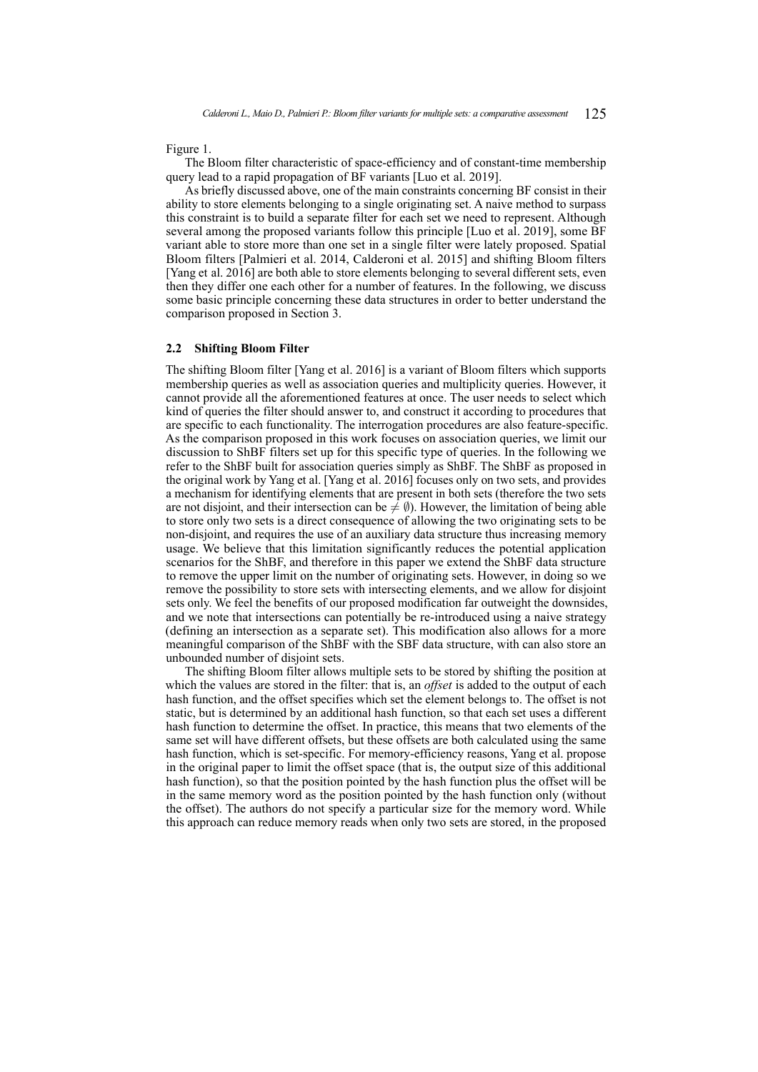Figure [1.](#page-4-0)

The Bloom filter characteristic of space-efficiency and of constant-time membership query lead to a rapid propagation of BF variants [\[Luo et al. 2019\]](#page-20-1).

As briefly discussed above, one of the main constraints concerning BF consist in their ability to store elements belonging to a single originating set. A naive method to surpass this constraint is to build a separate filter for each set we need to represent. Although several among the proposed variants follow this principle [\[Luo et al. 2019\]](#page-20-1), some BF variant able to store more than one set in a single filter were lately proposed. Spatial Bloom filters [\[Palmieri et al. 2014,](#page-20-10) [Calderoni et al. 2015\]](#page-19-10) and shifting Bloom filters [\[Yang et al. 2016\]](#page-20-8) are both able to store elements belonging to several different sets, even then they differ one each other for a number of features. In the following, we discuss some basic principle concerning these data structures in order to better understand the comparison proposed in Section [3.](#page-13-0)

#### <span id="page-5-0"></span>**2.2 Shifting Bloom Filter**

The shifting Bloom filter [\[Yang et al. 2016\]](#page-20-8) is a variant of Bloom filters which supports membership queries as well as association queries and multiplicity queries. However, it cannot provide all the aforementioned features at once. The user needs to select which kind of queries the filter should answer to, and construct it according to procedures that are specific to each functionality. The interrogation procedures are also feature-specific. As the comparison proposed in this work focuses on association queries, we limit our discussion to ShBF filters set up for this specific type of queries. In the following we refer to the ShBF built for association queries simply as ShBF. The ShBF as proposed in the original work by Yang et al. [\[Yang et al. 2016\]](#page-20-8) focuses only on two sets, and provides a mechanism for identifying elements that are present in both sets (therefore the two sets are not disjoint, and their intersection can be  $\neq \emptyset$ ). However, the limitation of being able to store only two sets is a direct consequence of allowing the two originating sets to be non-disjoint, and requires the use of an auxiliary data structure thus increasing memory usage. We believe that this limitation significantly reduces the potential application scenarios for the ShBF, and therefore in this paper we extend the ShBF data structure to remove the upper limit on the number of originating sets. However, in doing so we remove the possibility to store sets with intersecting elements, and we allow for disjoint sets only. We feel the benefits of our proposed modification far outweight the downsides, and we note that intersections can potentially be re-introduced using a naive strategy (defining an intersection as a separate set). This modification also allows for a more meaningful comparison of the ShBF with the SBF data structure, with can also store an unbounded number of disjoint sets.

The shifting Bloom filter allows multiple sets to be stored by shifting the position at which the values are stored in the filter: that is, an *offset* is added to the output of each hash function, and the offset specifies which set the element belongs to. The offset is not static, but is determined by an additional hash function, so that each set uses a different hash function to determine the offset. In practice, this means that two elements of the same set will have different offsets, but these offsets are both calculated using the same hash function, which is set-specific. For memory-efficiency reasons, Yang et al. propose in the original paper to limit the offset space (that is, the output size of this additional hash function), so that the position pointed by the hash function plus the offset will be in the same memory word as the position pointed by the hash function only (without the offset). The authors do not specify a particular size for the memory word. While this approach can reduce memory reads when only two sets are stored, in the proposed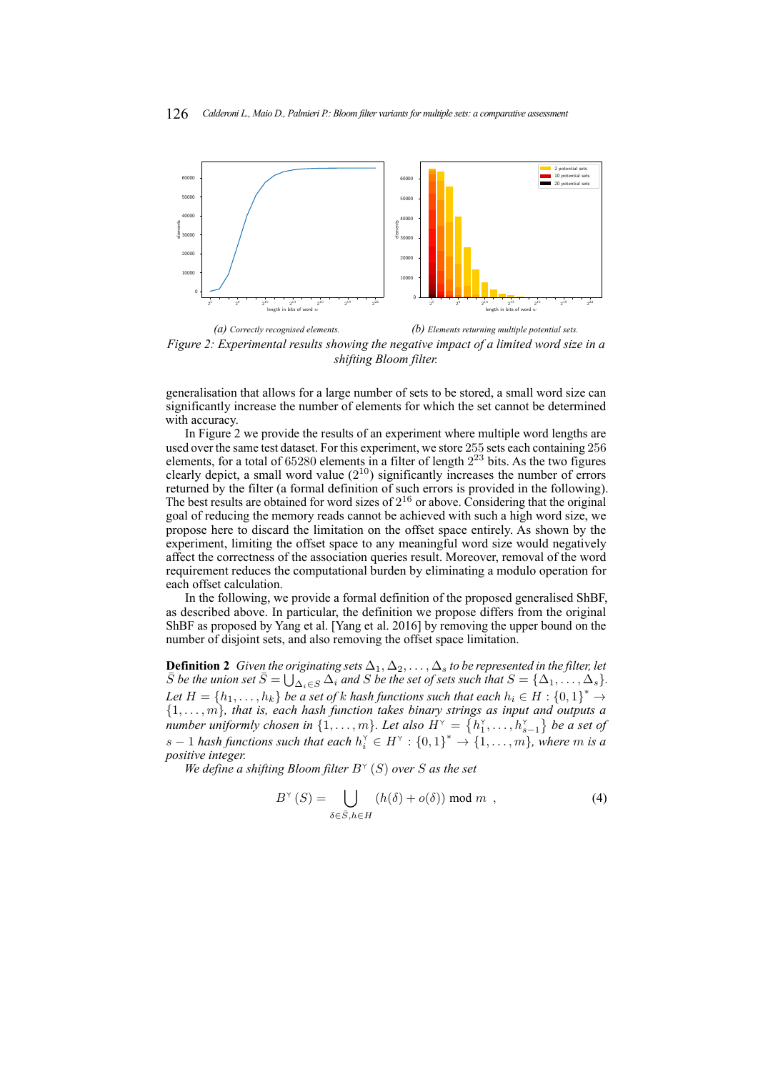<span id="page-6-0"></span>

*Figure 2: Experimental results showing the negative impact of a limited word size in a shifting Bloom filter.*

generalisation that allows for a large number of sets to be stored, a small word size can significantly increase the number of elements for which the set cannot be determined with accuracy.

In Figure [2](#page-6-0) we provide the results of an experiment where multiple word lengths are used over the same test dataset. For this experiment, we store 255 sets each containing 256 elements, for a total of  $65280$  elements in a filter of length  $2^{23}$  bits. As the two figures clearly depict, a small word value  $(2^{10})$  significantly increases the number of errors returned by the filter (a formal definition of such errors is provided in the following). The best results are obtained for word sizes of  $2^{16}$  or above. Considering that the original goal of reducing the memory reads cannot be achieved with such a high word size, we propose here to discard the limitation on the offset space entirely. As shown by the experiment, limiting the offset space to any meaningful word size would negatively affect the correctness of the association queries result. Moreover, removal of the word requirement reduces the computational burden by eliminating a modulo operation for each offset calculation.

In the following, we provide a formal definition of the proposed generalised ShBF, as described above. In particular, the definition we propose differs from the original ShBF as proposed by Yang et al. [\[Yang et al. 2016\]](#page-20-8) by removing the upper bound on the number of disjoint sets, and also removing the offset space limitation.

**Definition 2** *Given the originating sets*  $\Delta_1, \Delta_2, \ldots, \Delta_s$  *to be represented in the filter, let*  $\overline{S}$  *be the union set*  $\overline{S} = \bigcup_{\Delta_i \in S} \Delta_i$  *and* S *be the set of sets such that*  $S = {\Delta_1, \ldots, \Delta_s}$ *.* Let  $H = \{h_1, \ldots, h_k\}$  be a set of k hash functions such that each  $h_i \in H : \{0,1\}^* \to$  $\{1, \ldots, m\}$ , that is, each hash function takes binary strings as input and outputs a *number uniformly chosen in*  $\{1, \ldots, m\}$ . Let also  $H^{\vee} = \{h_1^{\vee}, \ldots, h_{s-1}^{\vee}\}$  be a set of  $s-1$  *hash functions such that each*  $h_i^{\gamma} \in H^{\gamma} : \{0,1\}^* \to \{1,\ldots,m\}$ , where m is a *positive integer.*

*We define a shifting Bloom filter* B (S) *over* S *as the set*

$$
B^{\gamma}\left(S\right) = \bigcup_{\delta \in \bar{S}, h \in H} \left(h(\delta) + o(\delta)\right) \text{ mod } m \tag{4}
$$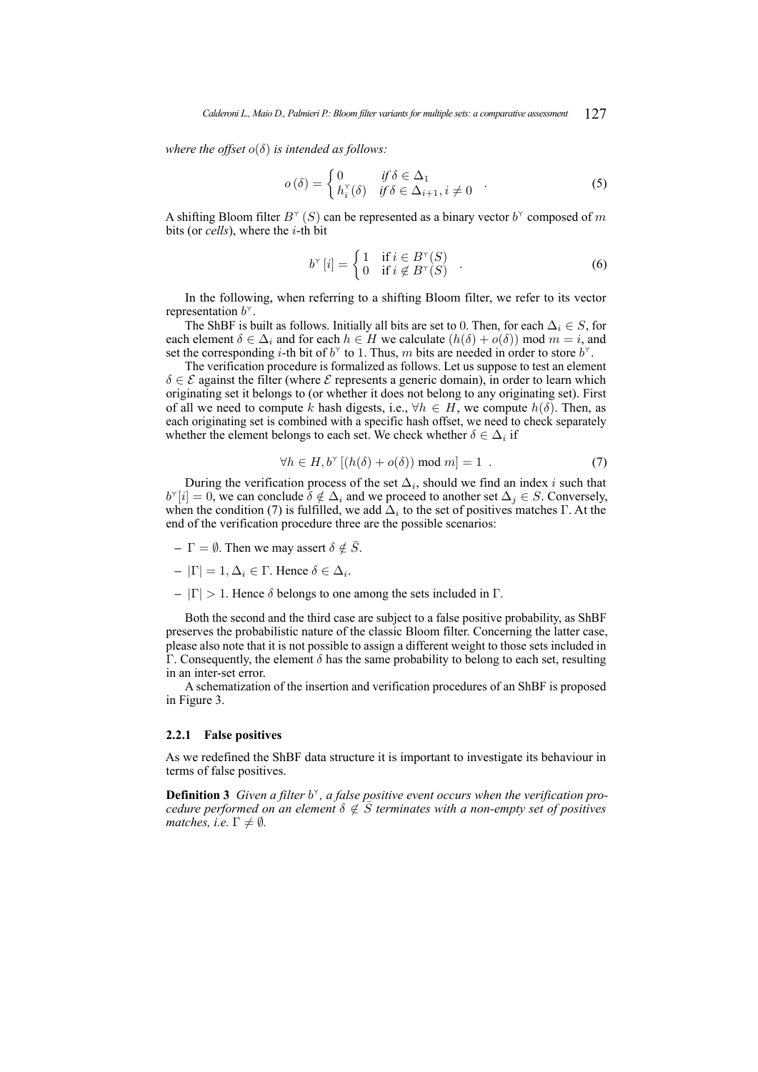*where the offset*  $o(\delta)$  *is intended as follows:* 

$$
o(\delta) = \begin{cases} 0 & \text{if } \delta \in \Delta_1 \\ h_i^{\vee}(\delta) & \text{if } \delta \in \Delta_{i+1}, i \neq 0 \end{cases} . \tag{5}
$$

A shifting Bloom filter  $B^{\gamma}(S)$  can be represented as a binary vector  $b^{\gamma}$  composed of m bits (or *cells*), where the i-th bit

$$
b^{\scriptscriptstyle \vee}[i] = \begin{cases} 1 & \text{if } i \in B^{\scriptscriptstyle \vee}(S) \\ 0 & \text{if } i \notin B^{\scriptscriptstyle \vee}(S) \end{cases} . \tag{6}
$$

In the following, when referring to a shifting Bloom filter, we refer to its vector representation  $b^{\scriptscriptstyle \vee}$ .

The ShBF is built as follows. Initially all bits are set to 0. Then, for each  $\Delta_i \in S$ , for each element  $\delta \in \Delta_i$  and for each  $h \in H$  we calculate  $(h(\delta) + o(\delta))$  mod  $m = i$ , and set the corresponding *i*-th bit of  $b^{\gamma}$  to 1. Thus, m bits are needed in order to store  $b^{\gamma}$ .

The verification procedure is formalized as follows. Let us suppose to test an element  $\delta \in \mathcal{E}$  against the filter (where  $\mathcal{E}$  represents a generic domain), in order to learn which originating set it belongs to (or whether it does not belong to any originating set). First of all we need to compute k hash digests, i.e.,  $\forall h \in H$ , we compute  $h(\delta)$ . Then, as each originating set is combined with a specific hash offset, we need to check separately whether the element belongs to each set. We check whether  $\delta \in \Delta_i$  if

<span id="page-7-1"></span>
$$
\forall h \in H, b^{\vee} \left[ (h(\delta) + o(\delta)) \bmod m \right] = 1 \tag{7}
$$

During the verification process of the set  $\Delta_i$ , should we find an index i such that  $b^{\gamma}[i] = 0$ , we can conclude  $\delta \notin \Delta_i$  and we proceed to another set  $\Delta_j \in S$ . Conversely, when the condition [\(7\)](#page-7-1) is fulfilled, we add  $\Delta_i$  to the set of positives matches  $\Gamma$ . At the end of the verification procedure three are the possible scenarios:

- **–**  $\Gamma = \emptyset$ . Then we may assert  $\delta \notin \overline{S}$ .
- $-|\Gamma|=1, \Delta_i \in \Gamma$ . Hence  $\delta \in \Delta_i$ .
- $|\Gamma| > 1$ . Hence δ belongs to one among the sets included in Γ.

Both the second and the third case are subject to a false positive probability, as ShBF preserves the probabilistic nature of the classic Bloom filter. Concerning the latter case, please also note that it is not possible to assign a different weight to those sets included in Γ. Consequently, the element  $δ$  has the same probability to belong to each set, resulting in an inter-set error.

A schematization of the insertion and verification procedures of an ShBF is proposed in Figure [3.](#page-8-0)

#### <span id="page-7-0"></span>**2.2.1 False positives**

As we redefined the ShBF data structure it is important to investigate its behaviour in terms of false positives.

**Definition 3** Given a filter  $b^{\gamma}$ , a false positive event occurs when the verification pro*cedure performed on an element*  $\delta \notin \overline{S}$  *terminates with a non-empty set of positives matches, i.e.*  $\Gamma \neq \emptyset$ *.*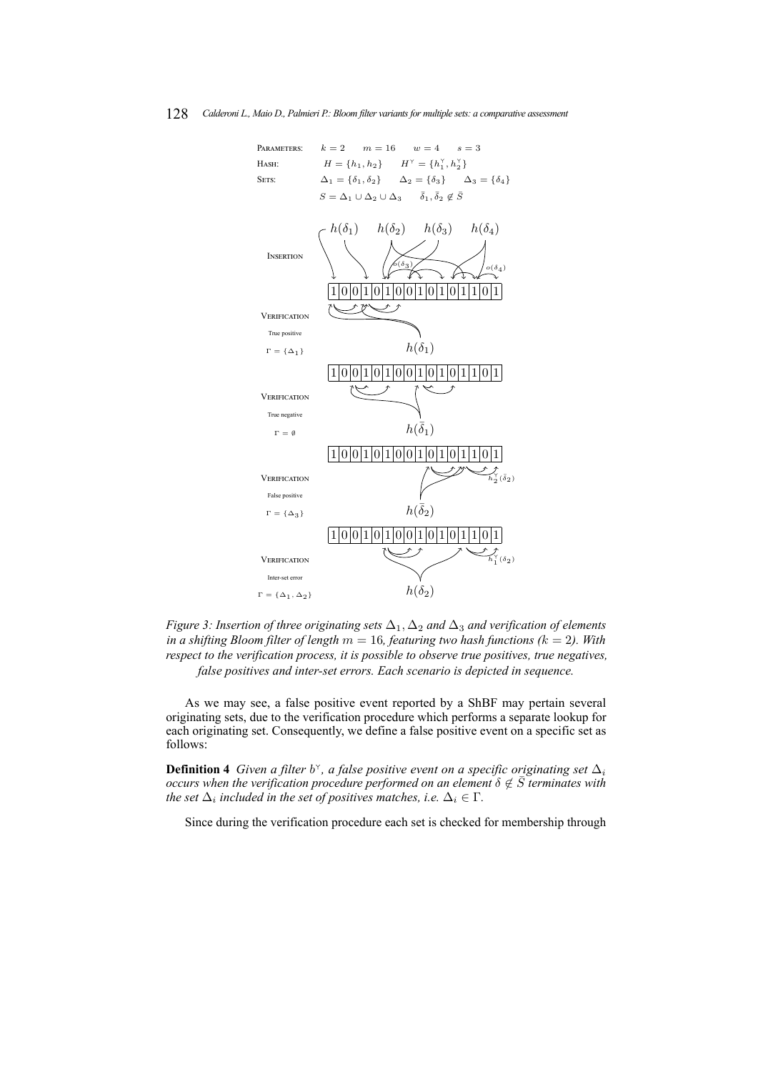<span id="page-8-0"></span>

*Figure 3: Insertion of three originating sets* ∆1, ∆<sup>2</sup> *and* ∆<sup>3</sup> *and verification of elements in a shifting Bloom filter of length*  $m = 16$ , *featuring two hash functions* ( $k = 2$ ). With *respect to the verification process, it is possible to observe true positives, true negatives, false positives and inter-set errors. Each scenario is depicted in sequence.*

As we may see, a false positive event reported by a ShBF may pertain several originating sets, due to the verification procedure which performs a separate lookup for each originating set. Consequently, we define a false positive event on a specific set as follows:

**Definition 4** Given a filter  $b^{\gamma}$ , a false positive event on a specific originating set  $\Delta_i$ *occurs when the verification procedure performed on an element*  $\delta \notin \overline{S}$  *terminates with the set*  $\Delta_i$  included in the set of positives matches, i.e.  $\Delta_i \in \Gamma$ .

Since during the verification procedure each set is checked for membership through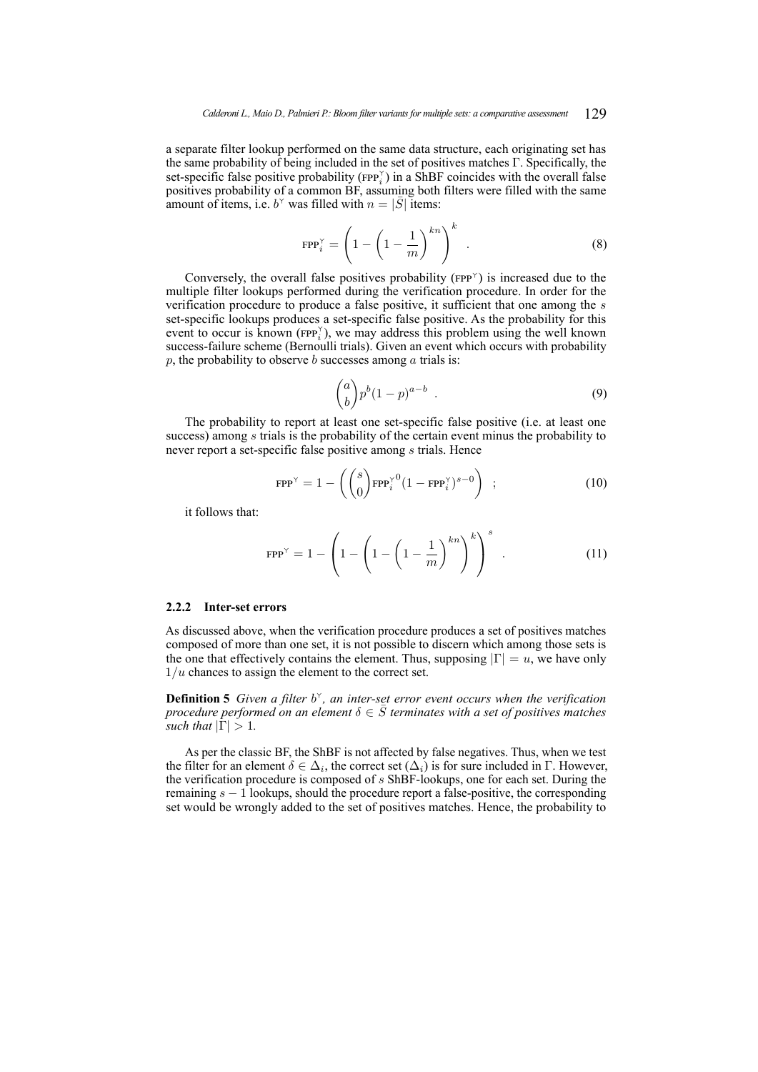a separate filter lookup performed on the same data structure, each originating set has the same probability of being included in the set of positives matches Γ. Specifically, the set-specific false positive probability ( $FPP_i^{\gamma}$ ) in a ShBF coincides with the overall false positives probability of a common BF, assuming both filters were filled with the same amount of items, i.e.  $b^{\gamma}$  was filled with  $n = |\bar{S}|$  items:

<span id="page-9-2"></span>
$$
\text{FPP}_i^{\gamma} = \left(1 - \left(1 - \frac{1}{m}\right)^{kn}\right)^k \tag{8}
$$

Conversely, the overall false positives probability ( $FPP^{\gamma}$ ) is increased due to the multiple filter lookups performed during the verification procedure. In order for the verification procedure to produce a false positive, it sufficient that one among the s set-specific lookups produces a set-specific false positive. As the probability for this event to occur is known ( $FPP_i^{\gamma}$ ), we may address this problem using the well known success-failure scheme (Bernoulli trials). Given an event which occurs with probability p, the probability to observe b successes among  $\alpha$  trials is:

$$
\binom{a}{b} p^b (1-p)^{a-b} \tag{9}
$$

The probability to report at least one set-specific false positive (i.e. at least one success) among s trials is the probability of the certain event minus the probability to never report a set-specific false positive among s trials. Hence

<span id="page-9-1"></span>
$$
\text{FPP}^{\gamma} = 1 - \left( \binom{s}{0} \text{FPP}_i^{\gamma 0} (1 - \text{FPP}_i^{\gamma})^{s-0} \right) ; \qquad (10)
$$

it follows that:

<span id="page-9-3"></span>
$$
FPP^{\gamma} = 1 - \left(1 - \left(1 - \left(1 - \frac{1}{m}\right)^{kn}\right)^{k}\right)^{s} .
$$
 (11)

#### <span id="page-9-0"></span>**2.2.2 Inter-set errors**

As discussed above, when the verification procedure produces a set of positives matches composed of more than one set, it is not possible to discern which among those sets is the one that effectively contains the element. Thus, supposing  $|\Gamma| = u$ , we have only  $1/u$  chances to assign the element to the correct set.

**Definition 5** *Given a filter*  $b^{\gamma}$ *, an inter-set error event occurs when the verification procedure performed on an element*  $\delta \in \overline{S}$  *terminates with a set of positives matches such that*  $|\Gamma| > 1$ .

As per the classic BF, the ShBF is not affected by false negatives. Thus, when we test the filter for an element  $\delta \in \Delta_i$ , the correct set  $(\Delta_i)$  is for sure included in  $\Gamma$ . However, the verification procedure is composed of  $s$  ShBF-lookups, one for each set. During the remaining  $s - 1$  lookups, should the procedure report a false-positive, the corresponding set would be wrongly added to the set of positives matches. Hence, the probability to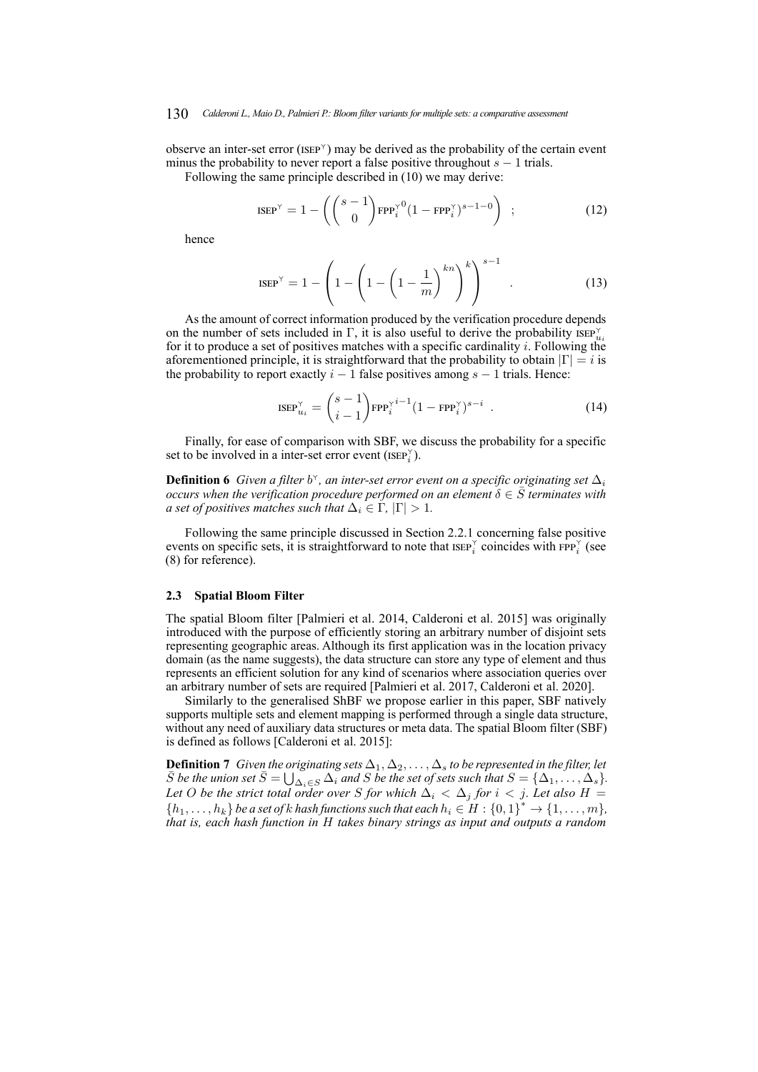#### 130 *Calderoni L., Maio D., Palmieri P.: Bloom filter variants for multiple sets: a comparative assessment*

observe an inter-set error (ISEP ) may be derived as the probability of the certain event minus the probability to never report a false positive throughout  $s - 1$  trials.

Following the same principle described in [\(10\)](#page-9-1) we may derive:

$$
\text{ISEP}^{\gamma} = 1 - \left( \binom{s-1}{0} \text{FPP}_i^{\gamma 0} (1 - \text{FPP}_i^{\gamma})^{s-1-0} \right) ; \qquad (12)
$$

hence

$$
ISEP^{\gamma} = 1 - \left(1 - \left(1 - \left(1 - \frac{1}{m}\right)^{kn}\right)^{k}\right)^{s-1} .
$$
 (13)

As the amount of correct information produced by the verification procedure depends on the number of sets included in  $\Gamma$ , it is also useful to derive the probability  $\text{ISEP}_{u_i}^{\gamma}$ for it to produce a set of positives matches with a specific cardinality  $i$ . Following the aforementioned principle, it is straightforward that the probability to obtain  $|\Gamma| = i$  is the probability to report exactly  $i - 1$  false positives among  $s - 1$  trials. Hence:

$$
\text{ISEP}_{u_i}^{\gamma} = \binom{s-1}{i-1} \text{FPP}_i^{\gamma i-1} (1 - \text{FPP}_i^{\gamma})^{s-i} \tag{14}
$$

Finally, for ease of comparison with SBF, we discuss the probability for a specific set to be involved in a inter-set error event (ISEP $_i^{\gamma}$ ).

**Definition 6** Given a filter  $b^{\gamma}$ , an inter-set error event on a specific originating set  $\Delta_i$ *occurs when the verification procedure performed on an element*  $\delta \in \overline{S}$  *terminates with a set of positives matches such that*  $\Delta_i \in \Gamma$ ,  $|\Gamma| > 1$ *.* 

Following the same principle discussed in Section [2.2.1](#page-7-0) concerning false positive events on specific sets, it is straightforward to note that  $\text{ISEP}_{i}^{\gamma}$  coincides with  $\text{FPP}_{i}^{\gamma}$  (see [\(8\)](#page-9-2) for reference).

#### <span id="page-10-0"></span>**2.3 Spatial Bloom Filter**

The spatial Bloom filter [\[Palmieri et al. 2014,](#page-20-10) [Calderoni et al. 2015\]](#page-19-10) was originally introduced with the purpose of efficiently storing an arbitrary number of disjoint sets representing geographic areas. Although its first application was in the location privacy domain (as the name suggests), the data structure can store any type of element and thus represents an efficient solution for any kind of scenarios where association queries over an arbitrary number of sets are required [\[Palmieri et al. 2017,](#page-20-13) [Calderoni et al. 2020\]](#page-19-14).

Similarly to the generalised ShBF we propose earlier in this paper, SBF natively supports multiple sets and element mapping is performed through a single data structure, without any need of auxiliary data structures or meta data. The spatial Bloom filter (SBF) is defined as follows [\[Calderoni et al. 2015\]](#page-19-10):

**Definition 7** *Given the originating sets*  $\Delta_1, \Delta_2, \ldots, \Delta_s$  *to be represented in the filter, let*  $\overline{S}$  *be the union set*  $\overline{S} = \bigcup_{\Delta_i \in S} \Delta_i$  *and* S *be the set of sets such that*  $S = {\Delta_1, \ldots, \Delta_s}$ *.* Let O be the strict total order over S for which  $\Delta_i < \Delta_j$  for  $i < j$ . Let also H =  $\{h_1, \ldots, h_k\}$  be a set of k hash functions such that each  $h_i \in H : \{0,1\}^* \to \{1, \ldots, m\}$ , *that is, each hash function in* H *takes binary strings as input and outputs a random*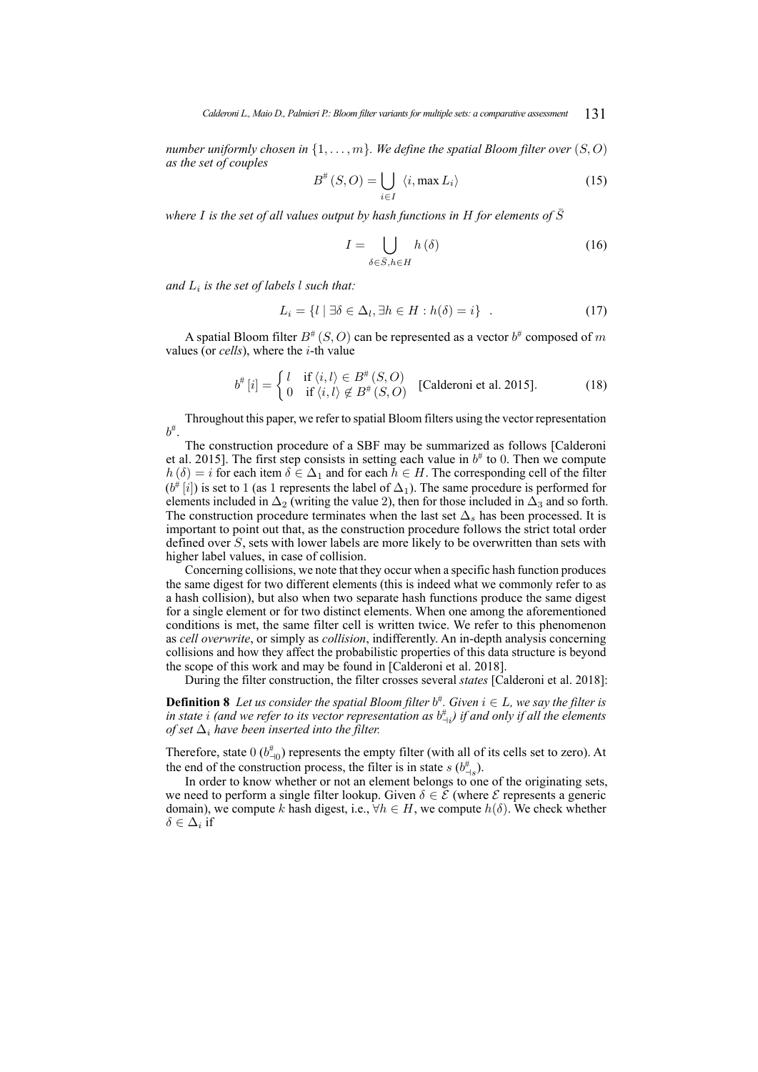*number uniformly chosen in*  $\{1, \ldots, m\}$ *. We define the spatial Bloom filter over*  $(S, O)$ *as the set of couples*

$$
B^{\#}(S, O) = \bigcup_{i \in I} \langle i, \max L_i \rangle \tag{15}
$$

*where I* is the set of all values output by hash functions in H for elements of  $\overline{S}$ 

$$
I = \bigcup_{\delta \in \bar{S}, h \in H} h(\delta) \tag{16}
$$

*and* L<sup>i</sup> *is the set of labels* l *such that:*

$$
L_i = \{l \mid \exists \delta \in \Delta_l, \exists h \in H : h(\delta) = i\} \quad . \tag{17}
$$

A spatial Bloom filter  $B^{\#}(S, O)$  can be represented as a vector  $b^{\#}$  composed of  $m$ values (or *cells*), where the i-th value

$$
b^{\#}[i] = \begin{cases} l & \text{if } \langle i, l \rangle \in B^{\#}(S, O) \\ 0 & \text{if } \langle i, l \rangle \notin B^{\#}(S, O) \end{cases} \quad \text{[Calderoni et al. 2015].} \tag{18}
$$

Throughout this paper, we refer to spatial Bloom filters using the vector representation  $b^{\#}$ .

The construction procedure of a SBF may be summarized as follows [\[Calderoni](#page-19-10) [et al. 2015\]](#page-19-10). The first step consists in setting each value in  $b^{\#}$  to 0. Then we compute  $h(\delta) = i$  for each item  $\delta \in \Delta_1$  and for each  $h \in H$ . The corresponding cell of the filter  $(b^{\#}[i])$  is set to 1 (as 1 represents the label of  $\Delta_1$ ). The same procedure is performed for elements included in  $\Delta_2$  (writing the value 2), then for those included in  $\Delta_3$  and so forth. The construction procedure terminates when the last set  $\Delta_s$  has been processed. It is important to point out that, as the construction procedure follows the strict total order defined over S, sets with lower labels are more likely to be overwritten than sets with higher label values, in case of collision.

Concerning collisions, we note that they occur when a specific hash function produces the same digest for two different elements (this is indeed what we commonly refer to as a hash collision), but also when two separate hash functions produce the same digest for a single element or for two distinct elements. When one among the aforementioned conditions is met, the same filter cell is written twice. We refer to this phenomenon as *cell overwrite*, or simply as *collision*, indifferently. An in-depth analysis concerning collisions and how they affect the probabilistic properties of this data structure is beyond the scope of this work and may be found in [\[Calderoni et al. 2018\]](#page-19-15).

During the filter construction, the filter crosses several *states* [\[Calderoni et al. 2018\]](#page-19-15):

**Definition 8** Let us consider the spatial Bloom filter  $b^{\#}$ . Given  $i \in L$ , we say the filter is in state  $i$  (and we refer to its vector representation as  $b^{\#}_{\neg i}$ ) if and only if all the elements *of set*  $\Delta_i$  *have been inserted into the filter.* 

Therefore, state  $0 \left( b_{-10}^{\#} \right)$  represents the empty filter (with all of its cells set to zero). At the end of the construction process, the filter is in state  $s$  ( $b^{\#}_{\neg s}$ ).

In order to know whether or not an element belongs to one of the originating sets, we need to perform a single filter lookup. Given  $\delta \in \mathcal{E}$  (where  $\mathcal{E}$  represents a generic domain), we compute k hash digest, i.e.,  $\forall h \in H$ , we compute  $h(\delta)$ . We check whether  $\delta \in \Delta_i$  if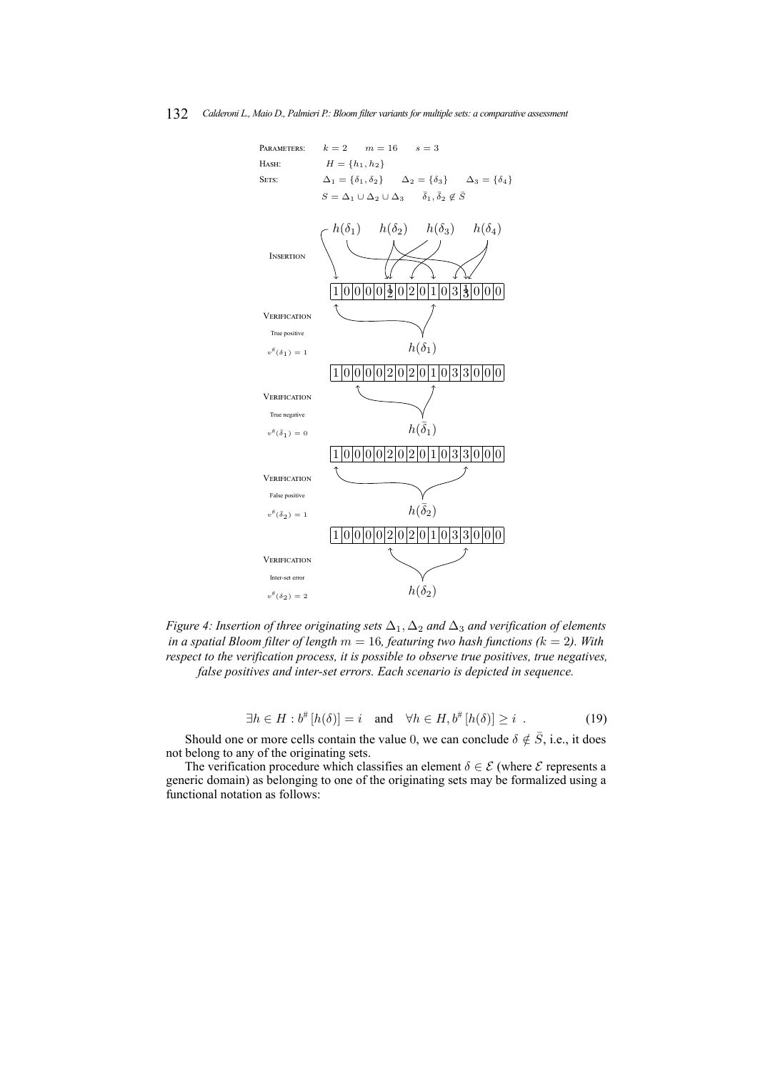#### <span id="page-12-0"></span>132 *Calderoni L., Maio D., Palmieri P.: Bloom filter variants for multiple sets: a comparative assessment*



*Figure 4: Insertion of three originating sets* ∆1, ∆<sup>2</sup> *and* ∆<sup>3</sup> *and verification of elements in a spatial Bloom filter of length* m = 16*, featuring two hash functions (*k = 2*). With respect to the verification process, it is possible to observe true positives, true negatives, false positives and inter-set errors. Each scenario is depicted in sequence.*

$$
\exists h \in H : b^{\#}[h(\delta)] = i \quad \text{and} \quad \forall h \in H, b^{\#}[h(\delta)] \geq i \quad . \tag{19}
$$

Should one or more cells contain the value 0, we can conclude  $\delta \notin \overline{S}$ , i.e., it does not belong to any of the originating sets.

The verification procedure which classifies an element  $\delta \in \mathcal{E}$  (where  $\mathcal{E}$  represents a generic domain) as belonging to one of the originating sets may be formalized using a functional notation as follows: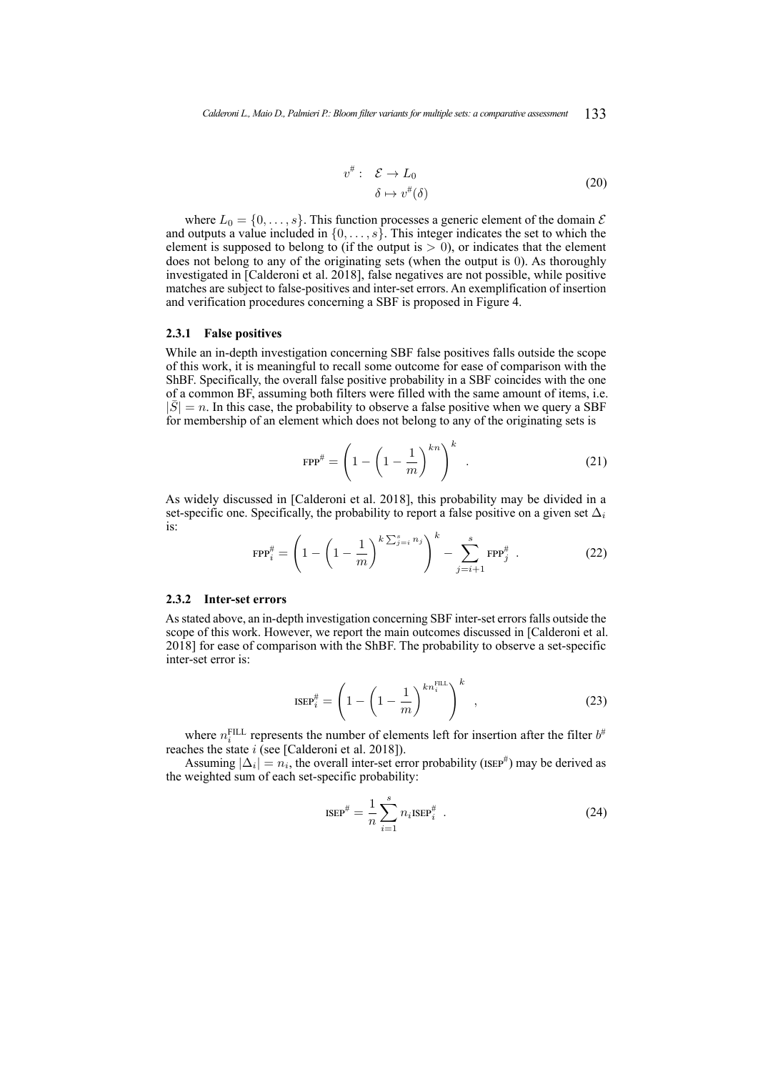$$
v^{\#}: \quad \mathcal{E} \to L_0
$$
  
\n
$$
\delta \mapsto v^{\#}(\delta)
$$
\n(20)

where  $L_0 = \{0, \ldots, s\}$ . This function processes a generic element of the domain  $\mathcal E$ and outputs a value included in  $\{0, \ldots, s\}$ . This integer indicates the set to which the element is supposed to belong to (if the output is  $> 0$ ), or indicates that the element does not belong to any of the originating sets (when the output is 0). As thoroughly investigated in [\[Calderoni et al. 2018\]](#page-19-15), false negatives are not possible, while positive matches are subject to false-positives and inter-set errors. An exemplification of insertion and verification procedures concerning a SBF is proposed in Figure [4.](#page-12-0)

### <span id="page-13-1"></span>**2.3.1 False positives**

While an in-depth investigation concerning SBF false positives falls outside the scope of this work, it is meaningful to recall some outcome for ease of comparison with the ShBF. Specifically, the overall false positive probability in a SBF coincides with the one of a common BF, assuming both filters were filled with the same amount of items, i.e.  $|\bar{S}| = n$ . In this case, the probability to observe a false positive when we query a SBF for membership of an element which does not belong to any of the originating sets is

<span id="page-13-2"></span>
$$
FPP^{\#} = \left(1 - \left(1 - \frac{1}{m}\right)^{kn}\right)^k
$$
 (21)

As widely discussed in [\[Calderoni et al. 2018\]](#page-19-15), this probability may be divided in a set-specific one. Specifically, the probability to report a false positive on a given set  $\Delta_i$ is:

$$
\text{FPP}_{i}^{\#} = \left(1 - \left(1 - \frac{1}{m}\right)^{k\sum_{j=i}^{s} n_j}\right)^{k} - \sum_{j=i+1}^{s} \text{FPP}_{j}^{\#} \tag{22}
$$

### **2.3.2 Inter-set errors**

As stated above, an in-depth investigation concerning SBF inter-set errors falls outside the scope of this work. However, we report the main outcomes discussed in [\[Calderoni et al.](#page-19-15) [2018\]](#page-19-15) for ease of comparison with the ShBF. The probability to observe a set-specific inter-set error is:

$$
\text{ISEP}_{i}^{\#} = \left(1 - \left(1 - \frac{1}{m}\right)^{kn_{i}^{\text{FILL}}}\right)^{k},\tag{23}
$$

where  $n_i^{\text{FILL}}$  represents the number of elements left for insertion after the filter  $b^{\#}$ reaches the state  $i$  (see [\[Calderoni et al. 2018\]](#page-19-15)).

<span id="page-13-0"></span>Assuming  $|\Delta_i| = n_i$ , the overall inter-set error probability (ISEP<sup>#</sup>) may be derived as the weighted sum of each set-specific probability:

$$
ISEP^{\#} = \frac{1}{n} \sum_{i=1}^{s} n_i ISEP_i^{\#} \tag{24}
$$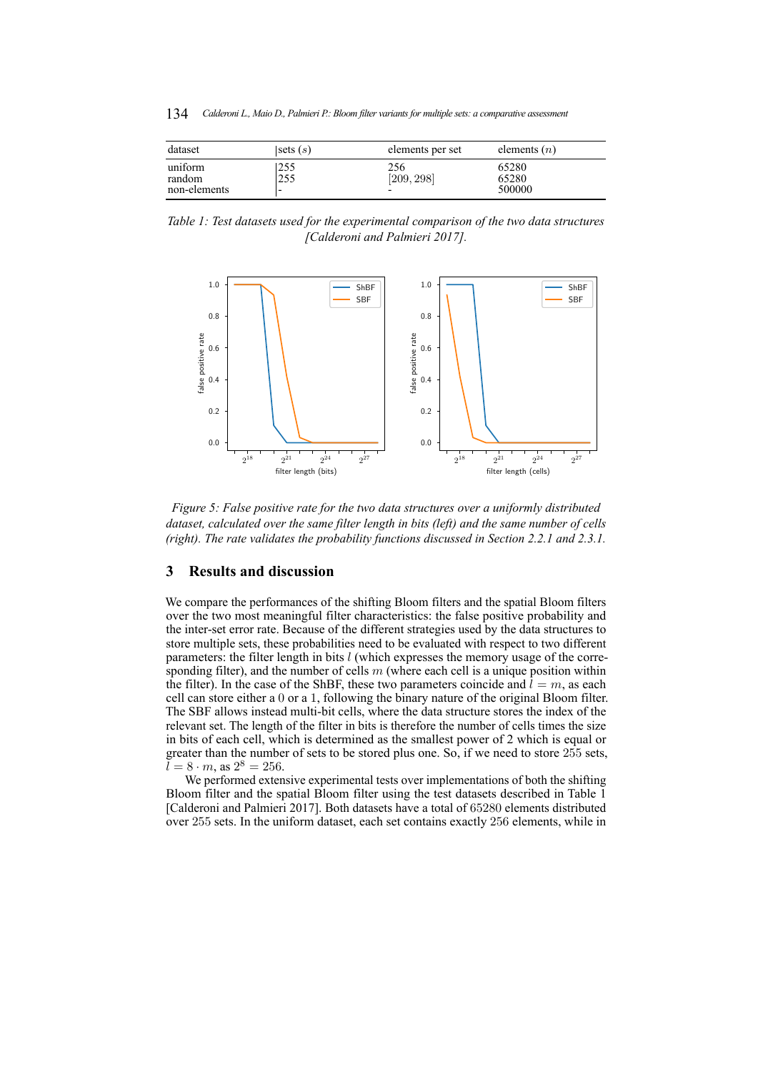134 *Calderoni L., Maio D., Palmieri P.: Bloom filter variants for multiple sets: a comparative assessment*

<span id="page-14-0"></span>

| dataset                           | sets $(s)$      | elements per set  | elements $(n)$           |
|-----------------------------------|-----------------|-------------------|--------------------------|
| uniform<br>random<br>non-elements | 255<br>255<br>۰ | 256<br>[209, 298] | 65280<br>65280<br>500000 |

<span id="page-14-1"></span>*Table 1: Test datasets used for the experimental comparison of the two data structures [\[Calderoni and Palmieri 2017\]](#page-19-16).*



*Figure 5: False positive rate for the two data structures over a uniformly distributed dataset, calculated over the same filter length in bits (left) and the same number of cells (right). The rate validates the probability functions discussed in Section [2.2.1](#page-7-0) and [2.3.1.](#page-13-1)*

# **3 Results and discussion**

We compare the performances of the shifting Bloom filters and the spatial Bloom filters over the two most meaningful filter characteristics: the false positive probability and the inter-set error rate. Because of the different strategies used by the data structures to store multiple sets, these probabilities need to be evaluated with respect to two different parameters: the filter length in bits  $l$  (which expresses the memory usage of the corresponding filter), and the number of cells  $m$  (where each cell is a unique position within the filter). In the case of the ShBF, these two parameters coincide and  $l = m$ , as each cell can store either a 0 or a 1, following the binary nature of the original Bloom filter. The SBF allows instead multi-bit cells, where the data structure stores the index of the relevant set. The length of the filter in bits is therefore the number of cells times the size in bits of each cell, which is determined as the smallest power of 2 which is equal or greater than the number of sets to be stored plus one. So, if we need to store 255 sets,  $\bar{l} = 8 \cdot m$ , as  $2^8 = 256$ .

We performed extensive experimental tests over implementations of both the shifting Bloom filter and the spatial Bloom filter using the test datasets described in Table [1](#page-14-0) [\[Calderoni and Palmieri 2017\]](#page-19-16). Both datasets have a total of 65280 elements distributed over 255 sets. In the uniform dataset, each set contains exactly 256 elements, while in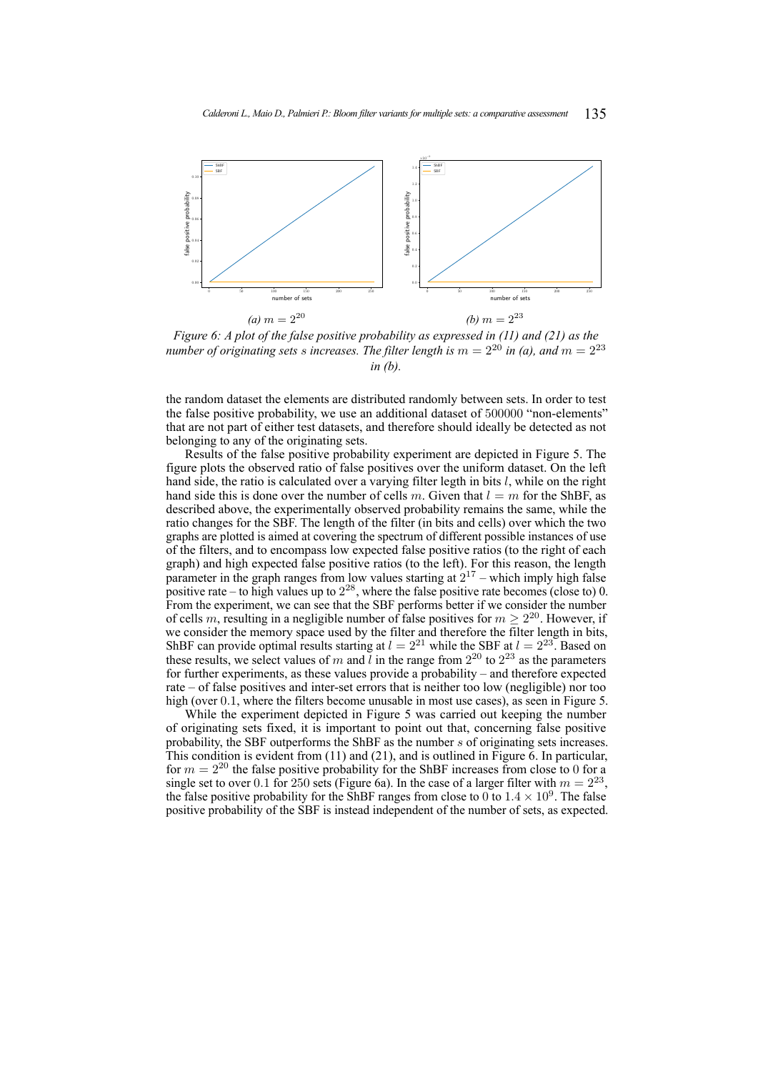<span id="page-15-0"></span>

*Figure 6: A plot of the false positive probability as expressed in [\(11\)](#page-9-3) and [\(21\)](#page-13-2) as the number of originating sets s increases. The filter length is*  $m = 2^{20}$  *in (a), and*  $m = 2^{23}$ *in (b).*

the random dataset the elements are distributed randomly between sets. In order to test the false positive probability, we use an additional dataset of 500000 "non-elements" that are not part of either test datasets, and therefore should ideally be detected as not belonging to any of the originating sets.

Results of the false positive probability experiment are depicted in Figure [5.](#page-14-1) The figure plots the observed ratio of false positives over the uniform dataset. On the left hand side, the ratio is calculated over a varying filter legth in bits  $l$ , while on the right hand side this is done over the number of cells m. Given that  $l = m$  for the ShBF, as described above, the experimentally observed probability remains the same, while the ratio changes for the SBF. The length of the filter (in bits and cells) over which the two graphs are plotted is aimed at covering the spectrum of different possible instances of use of the filters, and to encompass low expected false positive ratios (to the right of each graph) and high expected false positive ratios (to the left). For this reason, the length parameter in the graph ranges from low values starting at  $2^{17}$  – which imply high false positive rate – to high values up to  $2^{28}$ , where the false positive rate becomes (close to) 0. From the experiment, we can see that the SBF performs better if we consider the number of cells m, resulting in a negligible number of false positives for  $m \geq 2^{20}$ . However, if we consider the memory space used by the filter and therefore the filter length in bits, ShBF can provide optimal results starting at  $l = 2^{21}$  while the SBF at  $l = 2^{23}$ . Based on these results, we select values of m and l in the range from  $2^{20}$  to  $2^{23}$  as the parameters for further experiments, as these values provide a probability – and therefore expected rate – of false positives and inter-set errors that is neither too low (negligible) nor too high (over 0.1, where the filters become unusable in most use cases), as seen in Figure [5.](#page-14-1)

While the experiment depicted in Figure [5](#page-14-1) was carried out keeping the number of originating sets fixed, it is important to point out that, concerning false positive probability, the SBF outperforms the ShBF as the number s of originating sets increases. This condition is evident from [\(11\)](#page-9-3) and [\(21\)](#page-13-2), and is outlined in Figure [6.](#page-15-0) In particular, for  $m = 2^{20}$  the false positive probability for the ShBF increases from close to 0 for a single set to over 0.1 for 250 sets (Figure [6a\)](#page-15-0). In the case of a larger filter with  $m = 2^{23}$ , the false positive probability for the ShBF ranges from close to 0 to  $1.4 \times 10^9$ . The false positive probability of the SBF is instead independent of the number of sets, as expected.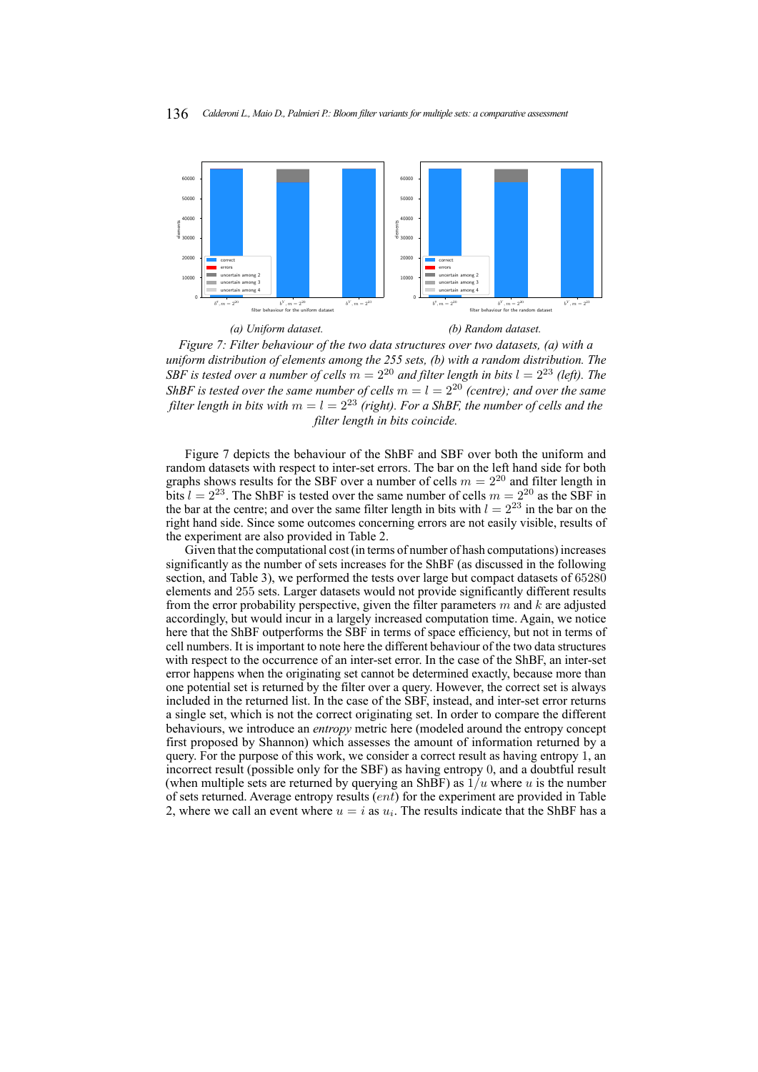<span id="page-16-0"></span>

*Figure 7: Filter behaviour of the two data structures over two datasets, (a) with a uniform distribution of elements among the 255 sets, (b) with a random distribution. The SBF is tested over a number of cells*  $m = 2^{20}$  *and filter length in bits*  $l = 2^{23}$  *(left). The ShBF is tested over the same number of cells*  $m = l = 2^{20}$  *(centre); and over the same filter length in bits with*  $m = l = 2^{23}$  *(right). For a ShBF, the number of cells and the filter length in bits coincide.*

Figure [7](#page-16-0) depicts the behaviour of the ShBF and SBF over both the uniform and random datasets with respect to inter-set errors. The bar on the left hand side for both graphs shows results for the SBF over a number of cells  $m = 2^{20}$  and filter length in bits  $l = 2^{23}$ . The ShBF is tested over the same number of cells  $m = 2^{20}$  as the SBF in the bar at the centre; and over the same filter length in bits with  $l = 2^{23}$  in the bar on the right hand side. Since some outcomes concerning errors are not easily visible, results of the experiment are also provided in Table [2.](#page-17-0)

Given that the computational cost (in terms of number of hash computations) increases significantly as the number of sets increases for the ShBF (as discussed in the following section, and Table [3\)](#page-17-1), we performed the tests over large but compact datasets of 65280 elements and 255 sets. Larger datasets would not provide significantly different results from the error probability perspective, given the filter parameters  $m$  and  $k$  are adjusted accordingly, but would incur in a largely increased computation time. Again, we notice here that the ShBF outperforms the SBF in terms of space efficiency, but not in terms of cell numbers. It is important to note here the different behaviour of the two data structures with respect to the occurrence of an inter-set error. In the case of the ShBF, an inter-set error happens when the originating set cannot be determined exactly, because more than one potential set is returned by the filter over a query. However, the correct set is always included in the returned list. In the case of the SBF, instead, and inter-set error returns a single set, which is not the correct originating set. In order to compare the different behaviours, we introduce an *entropy* metric here (modeled around the entropy concept first proposed by Shannon) which assesses the amount of information returned by a query. For the purpose of this work, we consider a correct result as having entropy 1, an incorrect result (possible only for the SBF) as having entropy 0, and a doubtful result (when multiple sets are returned by querying an ShBF) as  $1/u$  where u is the number of sets returned. Average entropy results (ent) for the experiment are provided in Table [2,](#page-17-0) where we call an event where  $u = i$  as  $u_i$ . The results indicate that the ShBF has a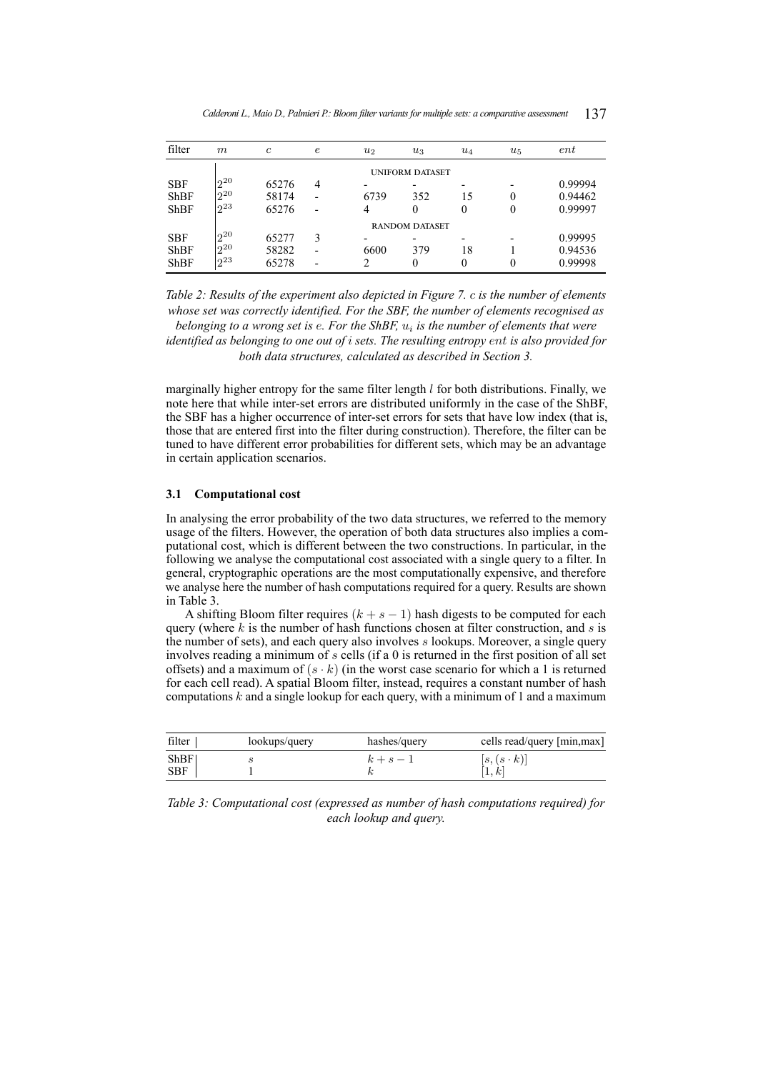<span id="page-17-0"></span>

| filter      | m        | $\mathfrak{c}$ | $\epsilon$ | $u_2$ | $u_3$                  | $u_4$ | $u_{5}$  | ent     |
|-------------|----------|----------------|------------|-------|------------------------|-------|----------|---------|
|             |          |                |            |       | <b>UNIFORM DATASET</b> |       |          |         |
| <b>SBF</b>  | $2^{20}$ | 65276          | 4          |       |                        |       |          | 0.99994 |
| <b>ShBF</b> | $2^{20}$ | 58174          |            | 6739  | 352                    | 15    | $\theta$ | 0.94462 |
| <b>ShBF</b> | $2^{23}$ | 65276          |            | 4     | 0                      | 0     | 0        | 0.99997 |
|             |          |                |            |       | <b>RANDOM DATASET</b>  |       |          |         |
| <b>SBF</b>  | $2^{20}$ | 65277          | 3          |       |                        |       |          | 0.99995 |
| <b>ShBF</b> | $2^{20}$ | 58282          |            | 6600  | 379                    | 18    |          | 0.94536 |
| <b>ShBF</b> | $2^{23}$ | 65278          |            | 2     | 0                      | 0     |          | 0.99998 |

*Calderoni L., Maio D., Palmieri P.: Bloom filter variants for multiple sets: a comparative assessment* 137

*Table 2: Results of the experiment also depicted in Figure [7.](#page-16-0)* c *is the number of elements whose set was correctly identified. For the SBF, the number of elements recognised as*

belonging to a wrong set is e. For the ShBF,  $u_i$  is the number of elements that were *identified as belonging to one out of* i *sets. The resulting entropy* ent *is also provided for both data structures, calculated as described in Section [3.](#page-13-0)*

marginally higher entropy for the same filter length  $l$  for both distributions. Finally, we note here that while inter-set errors are distributed uniformly in the case of the ShBF, the SBF has a higher occurrence of inter-set errors for sets that have low index (that is, those that are entered first into the filter during construction). Therefore, the filter can be tuned to have different error probabilities for different sets, which may be an advantage in certain application scenarios.

## **3.1 Computational cost**

In analysing the error probability of the two data structures, we referred to the memory usage of the filters. However, the operation of both data structures also implies a computational cost, which is different between the two constructions. In particular, in the following we analyse the computational cost associated with a single query to a filter. In general, cryptographic operations are the most computationally expensive, and therefore we analyse here the number of hash computations required for a query. Results are shown in Table [3.](#page-17-1)

A shifting Bloom filter requires  $(k + s - 1)$  hash digests to be computed for each query (where  $k$  is the number of hash functions chosen at filter construction, and  $s$  is the number of sets), and each query also involves s lookups. Moreover, a single query involves reading a minimum of s cells (if a 0 is returned in the first position of all set offsets) and a maximum of  $(s \cdot k)$  (in the worst case scenario for which a 1 is returned for each cell read). A spatial Bloom filter, instead, requires a constant number of hash computations  $k$  and a single lookup for each query, with a minimum of 1 and a maximum

<span id="page-17-1"></span>

| filter             | lookups/query | hashes/query | cells read/query [min, max] |
|--------------------|---------------|--------------|-----------------------------|
| ShBF<br><b>SBF</b> |               | $k+s-1$      | $ s,(s\cdot k) $            |

*Table 3: Computational cost (expressed as number of hash computations required) for each lookup and query.*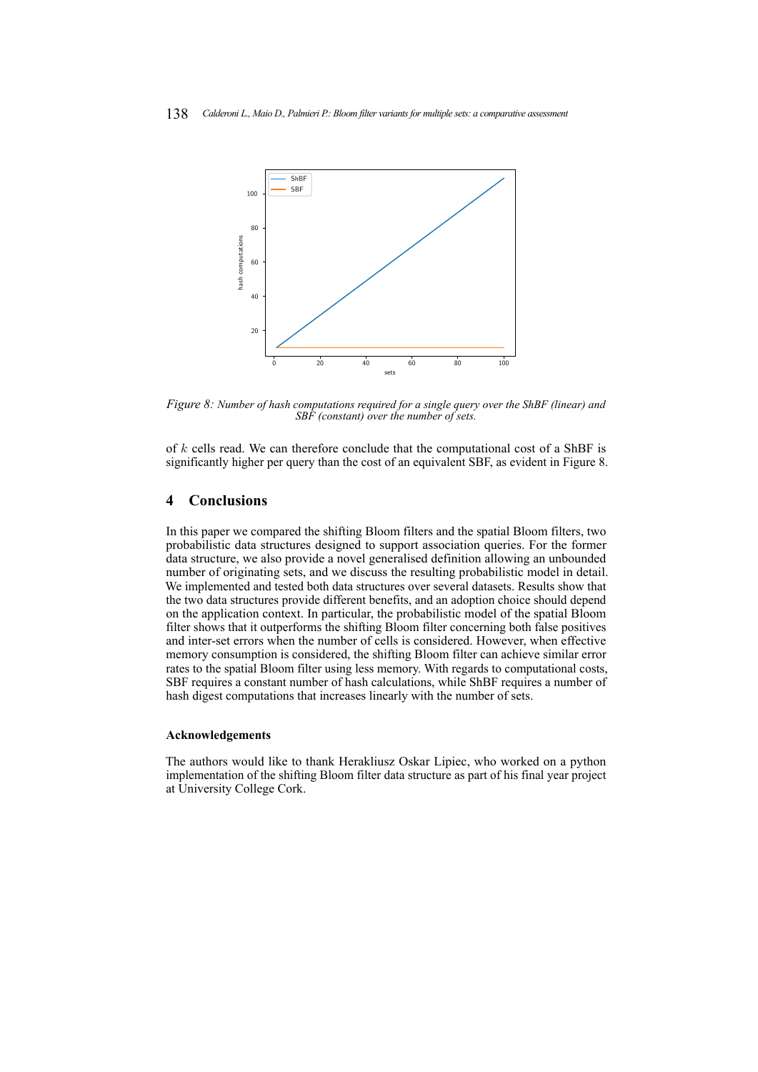<span id="page-18-0"></span>

*Figure 8: Number of hash computations required for a single query over the ShBF (linear) and SBF (constant) over the number of sets.*

of k cells read. We can therefore conclude that the computational cost of a ShBF is significantly higher per query than the cost of an equivalent SBF, as evident in Figure [8.](#page-18-0)

# **4 Conclusions**

In this paper we compared the shifting Bloom filters and the spatial Bloom filters, two probabilistic data structures designed to support association queries. For the former data structure, we also provide a novel generalised definition allowing an unbounded number of originating sets, and we discuss the resulting probabilistic model in detail. We implemented and tested both data structures over several datasets. Results show that the two data structures provide different benefits, and an adoption choice should depend on the application context. In particular, the probabilistic model of the spatial Bloom filter shows that it outperforms the shifting Bloom filter concerning both false positives and inter-set errors when the number of cells is considered. However, when effective memory consumption is considered, the shifting Bloom filter can achieve similar error rates to the spatial Bloom filter using less memory. With regards to computational costs, SBF requires a constant number of hash calculations, while ShBF requires a number of hash digest computations that increases linearly with the number of sets.

#### **Acknowledgements**

The authors would like to thank Herakliusz Oskar Lipiec, who worked on a python implementation of the shifting Bloom filter data structure as part of his final year project at University College Cork.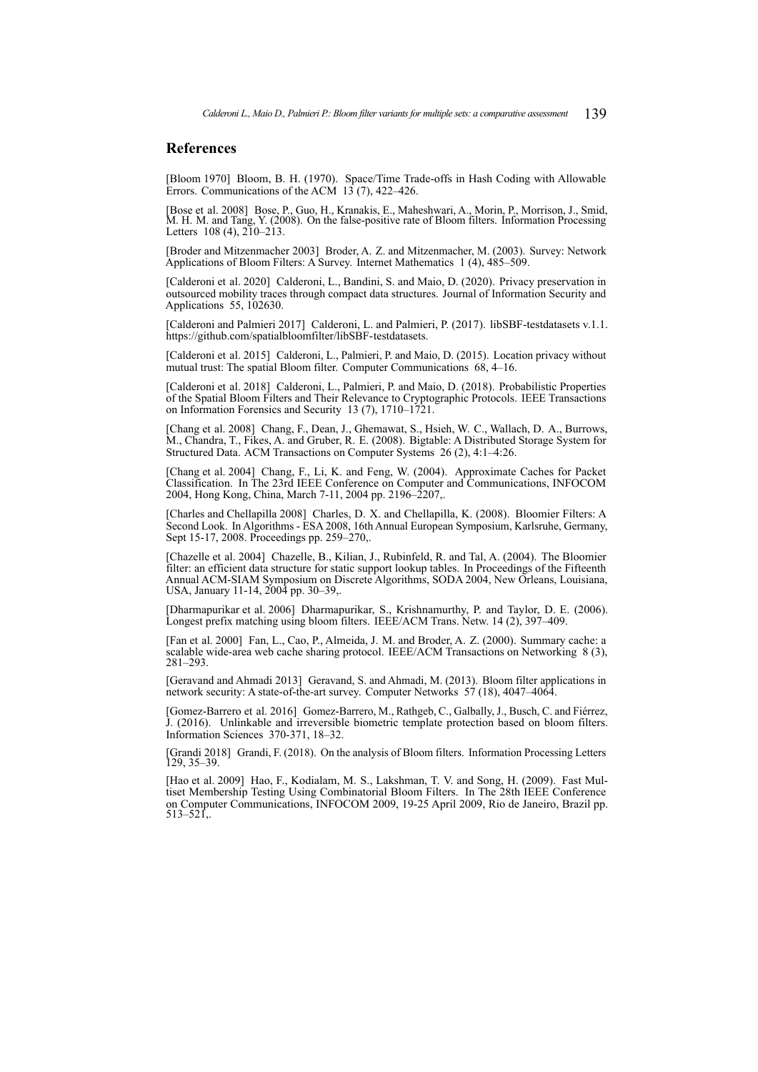# **References**

<span id="page-19-1"></span>[Bloom 1970] Bloom, B. H. (1970). Space/Time Trade-offs in Hash Coding with Allowable Errors. Communications of the ACM  $13$  (7), 422–426.

<span id="page-19-13"></span>[Bose et al. 2008] Bose, P., Guo, H., Kranakis, E., Maheshwari, A., Morin, P., Morrison, J., Smid, M. H. M. and Tang, Y. (2008). On the false-positive rate of Bloom filters. Information Processing Letters  $108(4)$ ,  $210-213$ .

<span id="page-19-6"></span>[Broder and Mitzenmacher 2003] Broder, A. Z. and Mitzenmacher, M. (2003). Survey: Network Applications of Bloom Filters: A Survey. Internet Mathematics 1 (4), 485–509.

<span id="page-19-14"></span>[Calderoni et al. 2020] Calderoni, L., Bandini, S. and Maio, D. (2020). Privacy preservation in outsourced mobility traces through compact data structures. Journal of Information Security and Applications 55, 102630.

<span id="page-19-16"></span>[Calderoni and Palmieri 2017] Calderoni, L. and Palmieri, P. (2017). libSBF-testdatasets v.1.1. [https://github.com/spatialbloomfilter/libSBF-testdatasets.](https://github.com/spatialbloomfilter/libSBF-testdatasets)

<span id="page-19-10"></span>[Calderoni et al. 2015] Calderoni, L., Palmieri, P. and Maio, D. (2015). Location privacy without mutual trust: The spatial Bloom filter. Computer Communications 68, 4–16.

<span id="page-19-15"></span>[Calderoni et al. 2018] Calderoni, L., Palmieri, P. and Maio, D. (2018). Probabilistic Properties of the Spatial Bloom Filters and Their Relevance to Cryptographic Protocols. IEEE Transactions on Information Forensics and Security 13 (7), 1710–1721.

<span id="page-19-0"></span>[Chang et al. 2008] Chang, F., Dean, J., Ghemawat, S., Hsieh, W. C., Wallach, D. A., Burrows, M., Chandra, T., Fikes, A. and Gruber, R. E. (2008). Bigtable: A Distributed Storage System for Structured Data. ACM Transactions on Computer Systems 26 (2), 4:1–4:26.

<span id="page-19-8"></span>[Chang et al. 2004] Chang, F., Li, K. and Feng, W. (2004). Approximate Caches for Packet Classification. In The 23rd IEEE Conference on Computer and Communications, INFOCOM 2004, Hong Kong, China, March 7-11, 2004 pp. 2196–2207,.

<span id="page-19-12"></span>[Charles and Chellapilla 2008] Charles, D. X. and Chellapilla, K. (2008). Bloomier Filters: A Second Look. In Algorithms - ESA 2008, 16th Annual European Symposium, Karlsruhe, Germany, Sept 15-17, 2008. Proceedings pp. 259–270,.

<span id="page-19-11"></span>[Chazelle et al. 2004] Chazelle, B., Kilian, J., Rubinfeld, R. and Tal, A. (2004). The Bloomier filter: an efficient data structure for static support lookup tables. In Proceedings of the Fifteenth Annual ACM-SIAM Symposium on Discrete Algorithms, SODA 2004, New Orleans, Louisiana, USA, January 11-14, 2004 pp. 30–39,.

<span id="page-19-7"></span>[Dharmapurikar et al. 2006] Dharmapurikar, S., Krishnamurthy, P. and Taylor, D. E. (2006). Longest prefix matching using bloom filters. IEEE/ACM Trans. Netw. 14 (2), 397–409.

<span id="page-19-3"></span>[Fan et al. 2000] Fan, L., Cao, P., Almeida, J. M. and Broder, A. Z. (2000). Summary cache: a scalable wide-area web cache sharing protocol. IEEE/ACM Transactions on Networking 8 (3), 281–293.

<span id="page-19-5"></span>[Geravand and Ahmadi 2013] Geravand, S. and Ahmadi, M. (2013). Bloom filter applications in network security: A state-of-the-art survey. Computer Networks 57 (18), 4047–4064.

<span id="page-19-4"></span>[Gomez-Barrero et al. 2016] Gomez-Barrero, M., Rathgeb, C., Galbally, J., Busch, C. and Fiérrez, J. (2016). Unlinkable and irreversible biometric template protection based on bloom filters. Information Sciences 370-371, 18–32.

<span id="page-19-2"></span>[Grandi 2018] Grandi, F. (2018). On the analysis of Bloom filters. Information Processing Letters 129, 35–39.

<span id="page-19-9"></span>[Hao et al. 2009] Hao, F., Kodialam, M. S., Lakshman, T. V. and Song, H. (2009). Fast Multiset Membership Testing Using Combinatorial Bloom Filters. In The 28th IEEE Conference on Computer Communications, INFOCOM 2009, 19-25 April 2009, Rio de Janeiro, Brazil pp.  $513 - 521$ .